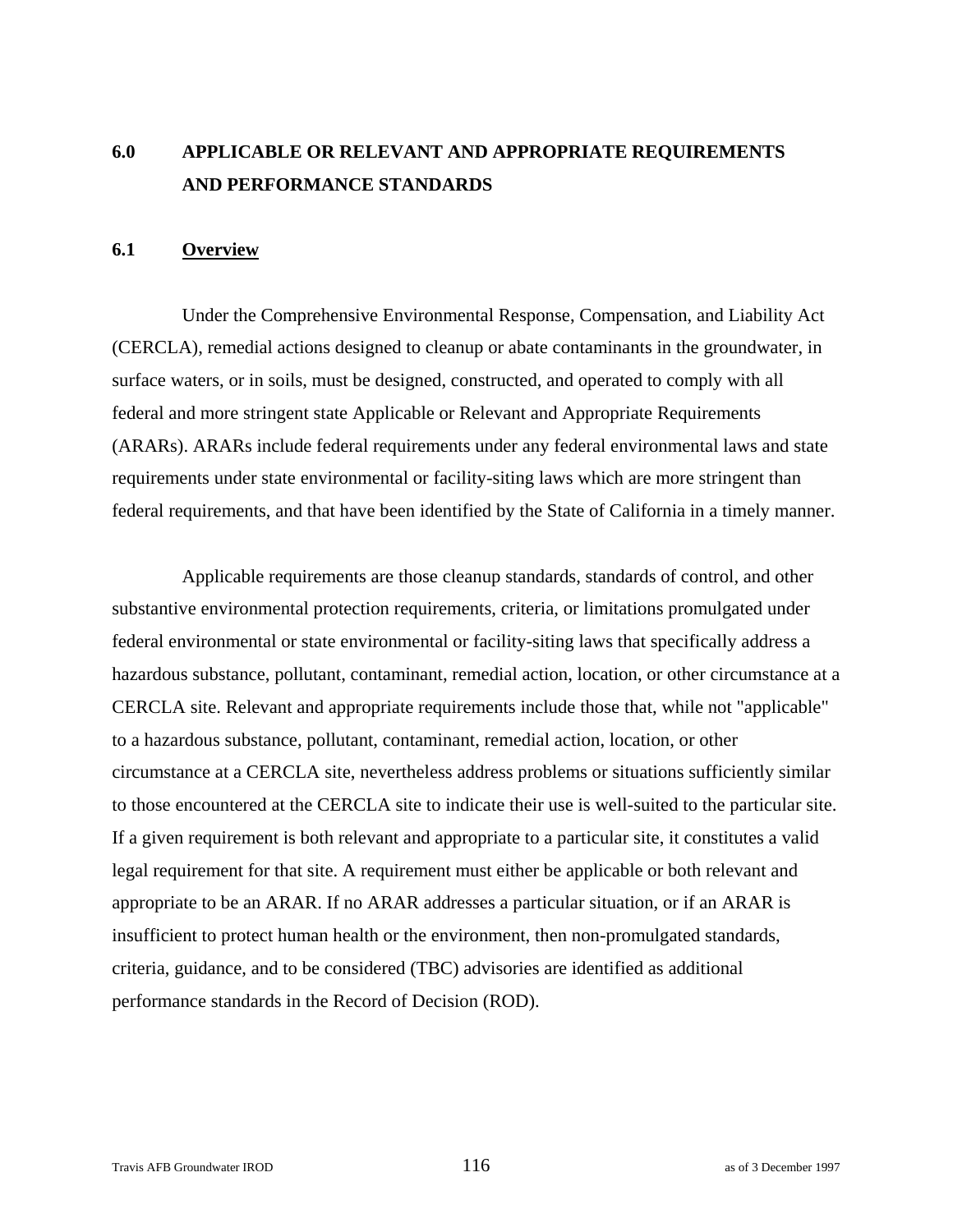# **6.0 APPLICABLE OR RELEVANT AND APPROPRIATE REQUIREMENTS AND PERFORMANCE STANDARDS**

#### **6.1 Overview**

Under the Comprehensive Environmental Response, Compensation, and Liability Act (CERCLA), remedial actions designed to cleanup or abate contaminants in the groundwater, in surface waters, or in soils, must be designed, constructed, and operated to comply with all federal and more stringent state Applicable or Relevant and Appropriate Requirements (ARARs). ARARs include federal requirements under any federal environmental laws and state requirements under state environmental or facility-siting laws which are more stringent than federal requirements, and that have been identified by the State of California in a timely manner.

Applicable requirements are those cleanup standards, standards of control, and other substantive environmental protection requirements, criteria, or limitations promulgated under federal environmental or state environmental or facility-siting laws that specifically address a hazardous substance, pollutant, contaminant, remedial action, location, or other circumstance at a CERCLA site. Relevant and appropriate requirements include those that, while not "applicable" to a hazardous substance, pollutant, contaminant, remedial action, location, or other circumstance at a CERCLA site, nevertheless address problems or situations sufficiently similar to those encountered at the CERCLA site to indicate their use is well-suited to the particular site. If a given requirement is both relevant and appropriate to a particular site, it constitutes a valid legal requirement for that site. A requirement must either be applicable or both relevant and appropriate to be an ARAR. If no ARAR addresses a particular situation, or if an ARAR is insufficient to protect human health or the environment, then non-promulgated standards, criteria, guidance, and to be considered (TBC) advisories are identified as additional performance standards in the Record of Decision (ROD).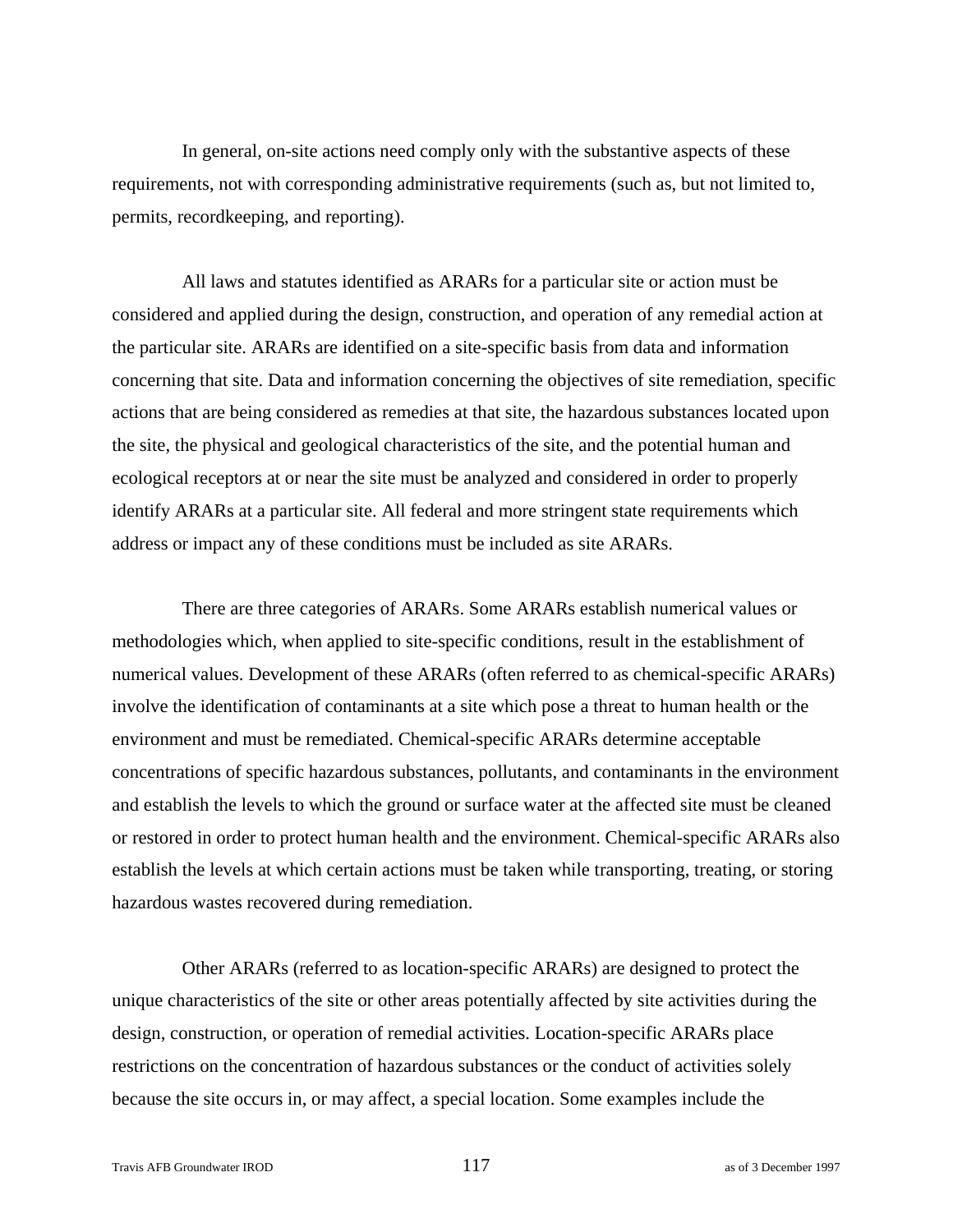In general, on-site actions need comply only with the substantive aspects of these requirements, not with corresponding administrative requirements (such as, but not limited to, permits, recordkeeping, and reporting).

All laws and statutes identified as ARARs for a particular site or action must be considered and applied during the design, construction, and operation of any remedial action at the particular site. ARARs are identified on a site-specific basis from data and information concerning that site. Data and information concerning the objectives of site remediation, specific actions that are being considered as remedies at that site, the hazardous substances located upon the site, the physical and geological characteristics of the site, and the potential human and ecological receptors at or near the site must be analyzed and considered in order to properly identify ARARs at a particular site. All federal and more stringent state requirements which address or impact any of these conditions must be included as site ARARs.

There are three categories of ARARs. Some ARARs establish numerical values or methodologies which, when applied to site-specific conditions, result in the establishment of numerical values. Development of these ARARs (often referred to as chemical-specific ARARs) involve the identification of contaminants at a site which pose a threat to human health or the environment and must be remediated. Chemical-specific ARARs determine acceptable concentrations of specific hazardous substances, pollutants, and contaminants in the environment and establish the levels to which the ground or surface water at the affected site must be cleaned or restored in order to protect human health and the environment. Chemical-specific ARARs also establish the levels at which certain actions must be taken while transporting, treating, or storing hazardous wastes recovered during remediation.

Other ARARs (referred to as location-specific ARARs) are designed to protect the unique characteristics of the site or other areas potentially affected by site activities during the design, construction, or operation of remedial activities. Location-specific ARARs place restrictions on the concentration of hazardous substances or the conduct of activities solely because the site occurs in, or may affect, a special location. Some examples include the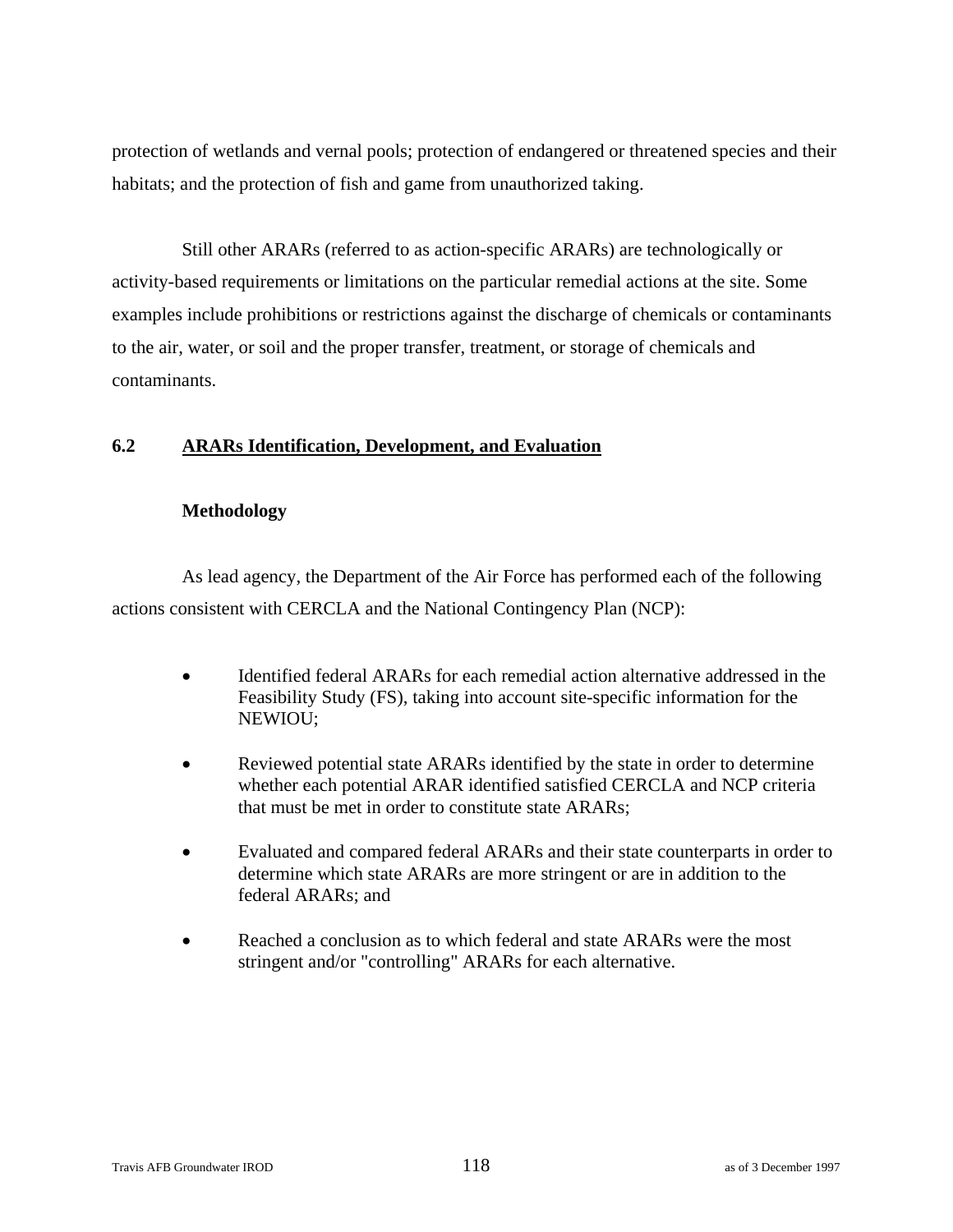protection of wetlands and vernal pools; protection of endangered or threatened species and their habitats; and the protection of fish and game from unauthorized taking.

Still other ARARs (referred to as action-specific ARARs) are technologically or activity-based requirements or limitations on the particular remedial actions at the site. Some examples include prohibitions or restrictions against the discharge of chemicals or contaminants to the air, water, or soil and the proper transfer, treatment, or storage of chemicals and contaminants.

#### **6.2 ARARs Identification, Development, and Evaluation**

#### **Methodology**

As lead agency, the Department of the Air Force has performed each of the following actions consistent with CERCLA and the National Contingency Plan (NCP):

- Identified federal ARARs for each remedial action alternative addressed in the Feasibility Study (FS), taking into account site-specific information for the NEWIOU;
- Reviewed potential state ARARs identified by the state in order to determine whether each potential ARAR identified satisfied CERCLA and NCP criteria that must be met in order to constitute state ARARs;
- Evaluated and compared federal ARARs and their state counterparts in order to determine which state ARARs are more stringent or are in addition to the federal ARARs; and
- Reached a conclusion as to which federal and state ARARs were the most stringent and/or "controlling" ARARs for each alternative.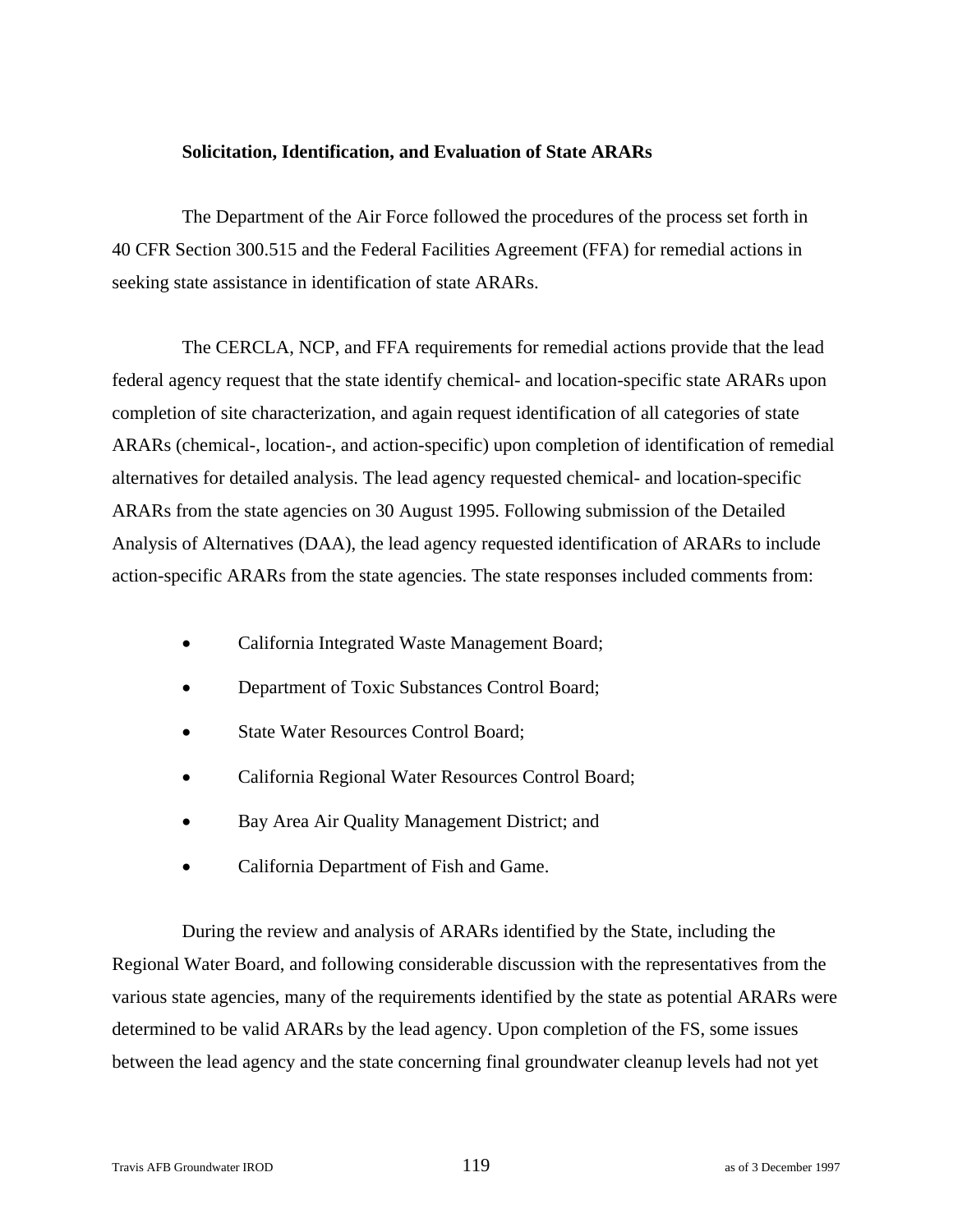#### **Solicitation, Identification, and Evaluation of State ARARs**

The Department of the Air Force followed the procedures of the process set forth in 40 CFR Section 300.515 and the Federal Facilities Agreement (FFA) for remedial actions in seeking state assistance in identification of state ARARs.

The CERCLA, NCP, and FFA requirements for remedial actions provide that the lead federal agency request that the state identify chemical- and location-specific state ARARs upon completion of site characterization, and again request identification of all categories of state ARARs (chemical-, location-, and action-specific) upon completion of identification of remedial alternatives for detailed analysis. The lead agency requested chemical- and location-specific ARARs from the state agencies on 30 August 1995. Following submission of the Detailed Analysis of Alternatives (DAA), the lead agency requested identification of ARARs to include action-specific ARARs from the state agencies. The state responses included comments from:

- California Integrated Waste Management Board;
- Department of Toxic Substances Control Board;
- State Water Resources Control Board;
- California Regional Water Resources Control Board;
- Bay Area Air Quality Management District; and
- California Department of Fish and Game.

During the review and analysis of ARARs identified by the State, including the Regional Water Board, and following considerable discussion with the representatives from the various state agencies, many of the requirements identified by the state as potential ARARs were determined to be valid ARARs by the lead agency. Upon completion of the FS, some issues between the lead agency and the state concerning final groundwater cleanup levels had not yet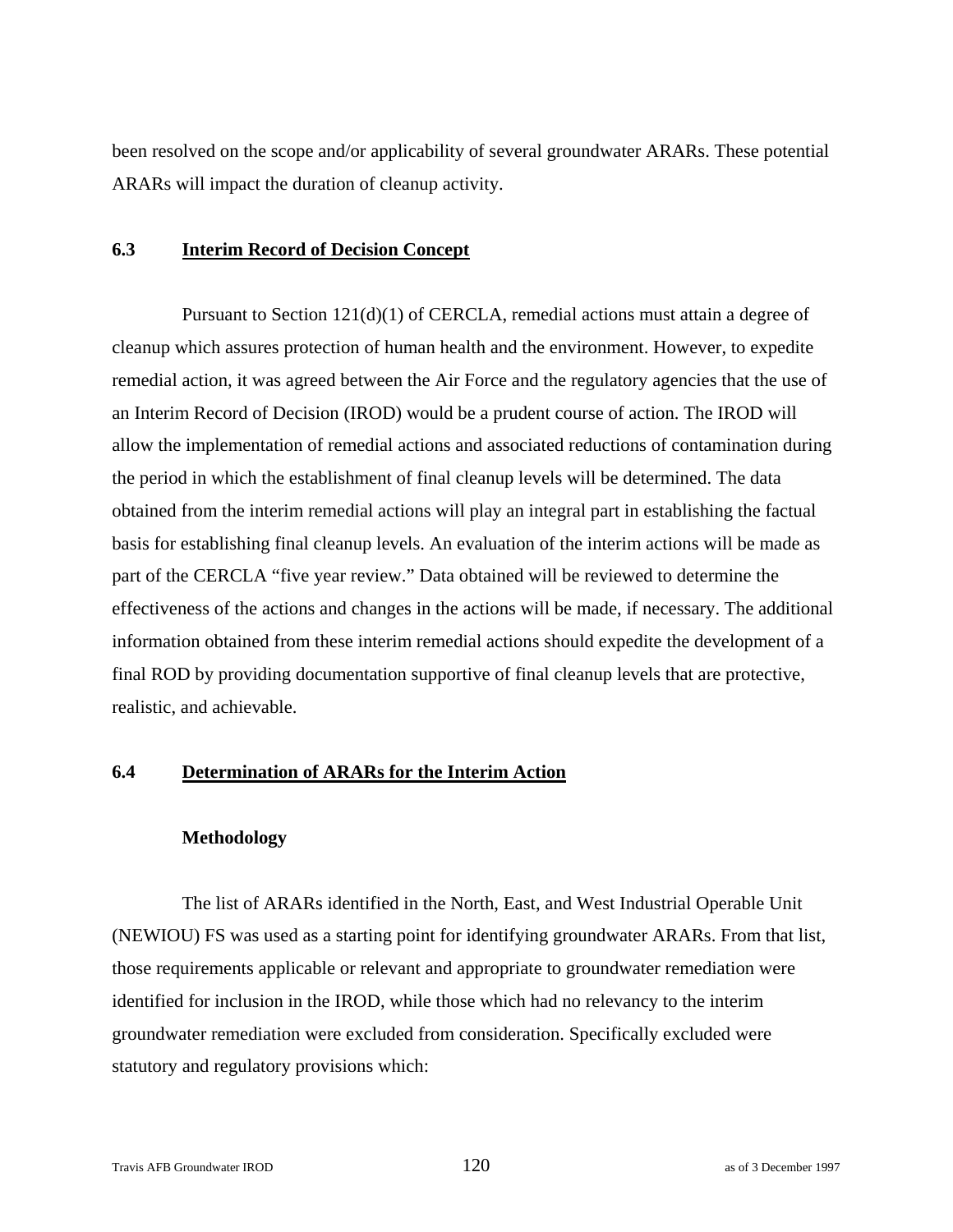been resolved on the scope and/or applicability of several groundwater ARARs. These potential ARARs will impact the duration of cleanup activity.

#### **6.3 Interim Record of Decision Concept**

Pursuant to Section 121(d)(1) of CERCLA, remedial actions must attain a degree of cleanup which assures protection of human health and the environment. However, to expedite remedial action, it was agreed between the Air Force and the regulatory agencies that the use of an Interim Record of Decision (IROD) would be a prudent course of action. The IROD will allow the implementation of remedial actions and associated reductions of contamination during the period in which the establishment of final cleanup levels will be determined. The data obtained from the interim remedial actions will play an integral part in establishing the factual basis for establishing final cleanup levels. An evaluation of the interim actions will be made as part of the CERCLA "five year review." Data obtained will be reviewed to determine the effectiveness of the actions and changes in the actions will be made, if necessary. The additional information obtained from these interim remedial actions should expedite the development of a final ROD by providing documentation supportive of final cleanup levels that are protective, realistic, and achievable.

#### **6.4 Determination of ARARs for the Interim Action**

#### **Methodology**

The list of ARARs identified in the North, East, and West Industrial Operable Unit (NEWIOU) FS was used as a starting point for identifying groundwater ARARs. From that list, those requirements applicable or relevant and appropriate to groundwater remediation were identified for inclusion in the IROD, while those which had no relevancy to the interim groundwater remediation were excluded from consideration. Specifically excluded were statutory and regulatory provisions which: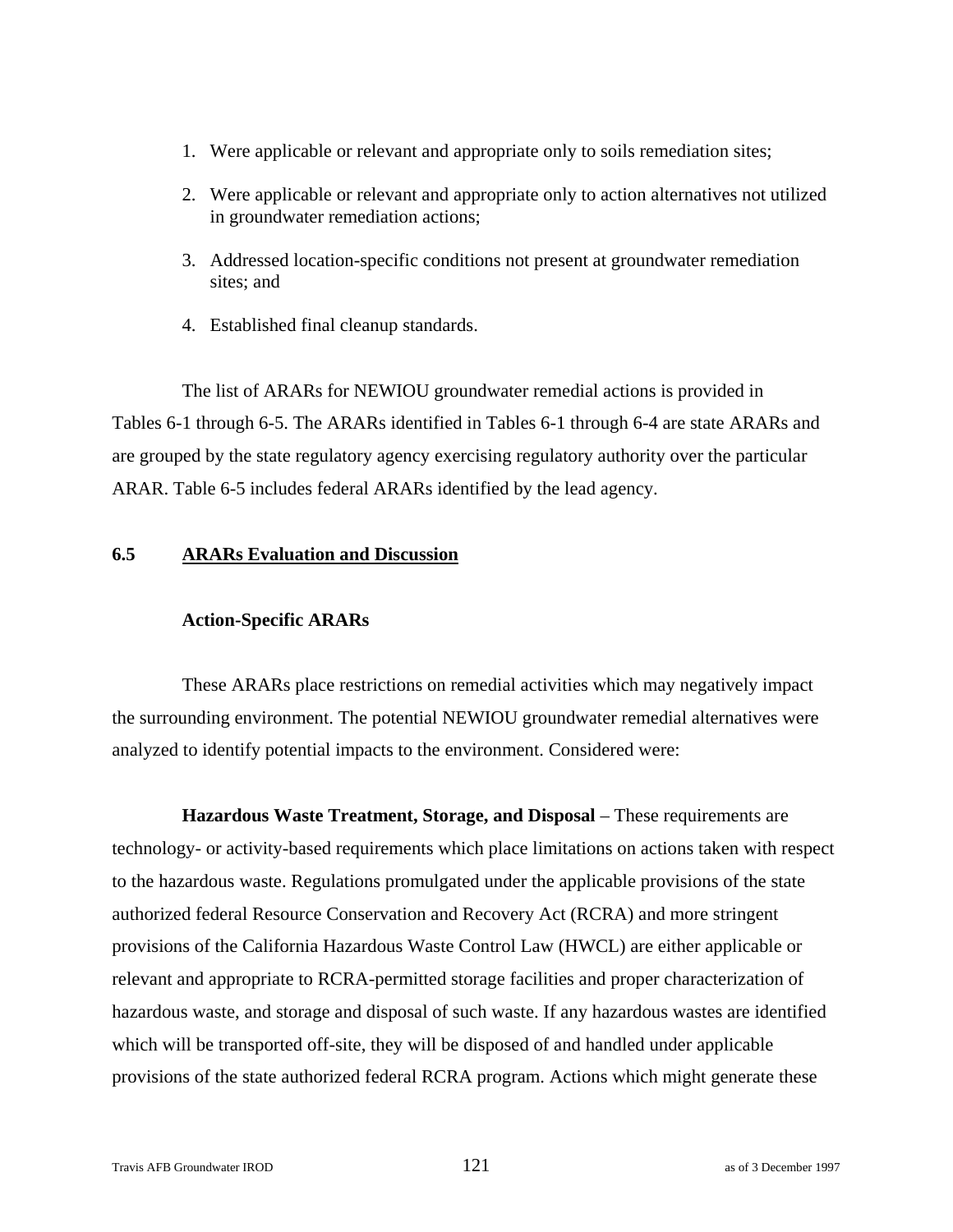- 1. Were applicable or relevant and appropriate only to soils remediation sites;
- 2. Were applicable or relevant and appropriate only to action alternatives not utilized in groundwater remediation actions;
- 3. Addressed location-specific conditions not present at groundwater remediation sites; and
- 4. Established final cleanup standards.

The list of ARARs for NEWIOU groundwater remedial actions is provided in Tables 6-1 through 6-5. The ARARs identified in Tables 6-1 through 6-4 are state ARARs and are grouped by the state regulatory agency exercising regulatory authority over the particular ARAR. Table 6-5 includes federal ARARs identified by the lead agency.

#### **6.5 ARARs Evaluation and Discussion**

#### **Action-Specific ARARs**

These ARARs place restrictions on remedial activities which may negatively impact the surrounding environment. The potential NEWIOU groundwater remedial alternatives were analyzed to identify potential impacts to the environment. Considered were:

**Hazardous Waste Treatment, Storage, and Disposal** – These requirements are technology- or activity-based requirements which place limitations on actions taken with respect to the hazardous waste. Regulations promulgated under the applicable provisions of the state authorized federal Resource Conservation and Recovery Act (RCRA) and more stringent provisions of the California Hazardous Waste Control Law (HWCL) are either applicable or relevant and appropriate to RCRA-permitted storage facilities and proper characterization of hazardous waste, and storage and disposal of such waste. If any hazardous wastes are identified which will be transported off-site, they will be disposed of and handled under applicable provisions of the state authorized federal RCRA program. Actions which might generate these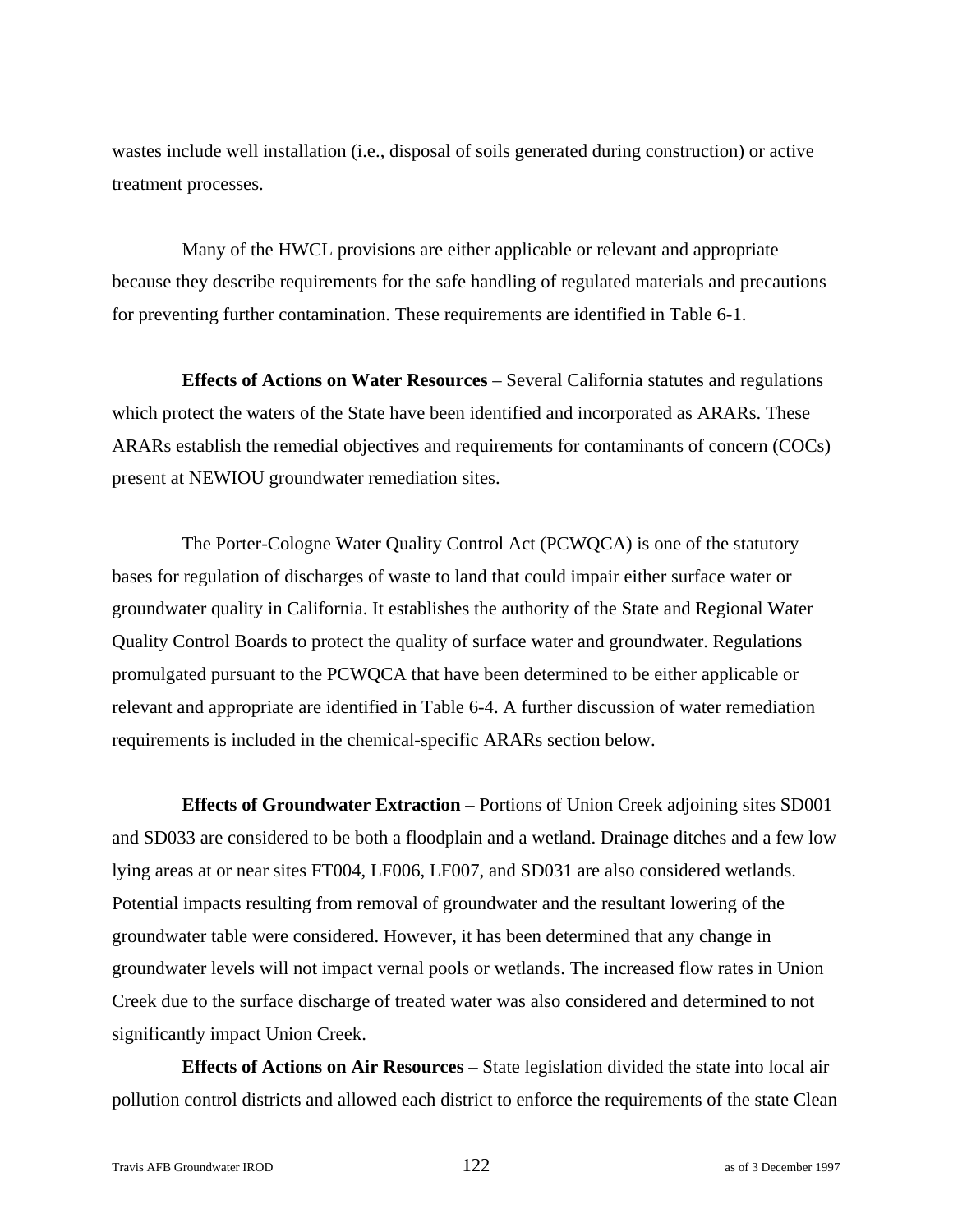wastes include well installation (i.e., disposal of soils generated during construction) or active treatment processes.

Many of the HWCL provisions are either applicable or relevant and appropriate because they describe requirements for the safe handling of regulated materials and precautions for preventing further contamination. These requirements are identified in Table 6-1.

**Effects of Actions on Water Resources** – Several California statutes and regulations which protect the waters of the State have been identified and incorporated as ARARs. These ARARs establish the remedial objectives and requirements for contaminants of concern (COCs) present at NEWIOU groundwater remediation sites.

The Porter-Cologne Water Quality Control Act (PCWQCA) is one of the statutory bases for regulation of discharges of waste to land that could impair either surface water or groundwater quality in California. It establishes the authority of the State and Regional Water Quality Control Boards to protect the quality of surface water and groundwater. Regulations promulgated pursuant to the PCWQCA that have been determined to be either applicable or relevant and appropriate are identified in Table 6-4. A further discussion of water remediation requirements is included in the chemical-specific ARARs section below.

**Effects of Groundwater Extraction** – Portions of Union Creek adjoining sites SD001 and SD033 are considered to be both a floodplain and a wetland. Drainage ditches and a few low lying areas at or near sites FT004, LF006, LF007, and SD031 are also considered wetlands. Potential impacts resulting from removal of groundwater and the resultant lowering of the groundwater table were considered. However, it has been determined that any change in groundwater levels will not impact vernal pools or wetlands. The increased flow rates in Union Creek due to the surface discharge of treated water was also considered and determined to not significantly impact Union Creek.

**Effects of Actions on Air Resources** – State legislation divided the state into local air pollution control districts and allowed each district to enforce the requirements of the state Clean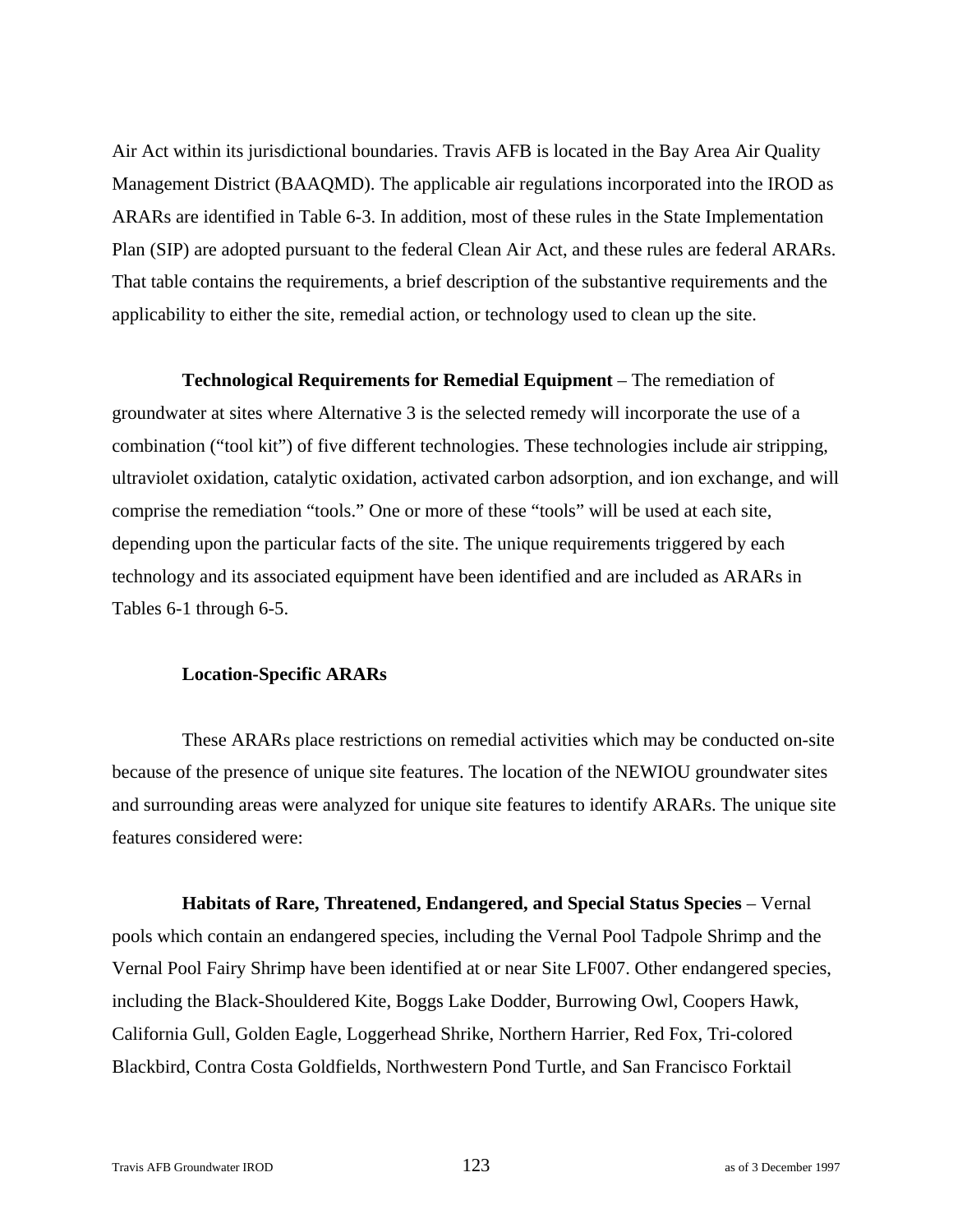Air Act within its jurisdictional boundaries. Travis AFB is located in the Bay Area Air Quality Management District (BAAQMD). The applicable air regulations incorporated into the IROD as ARARs are identified in Table 6-3. In addition, most of these rules in the State Implementation Plan (SIP) are adopted pursuant to the federal Clean Air Act, and these rules are federal ARARs. That table contains the requirements, a brief description of the substantive requirements and the applicability to either the site, remedial action, or technology used to clean up the site.

**Technological Requirements for Remedial Equipment** – The remediation of groundwater at sites where Alternative 3 is the selected remedy will incorporate the use of a combination ("tool kit") of five different technologies. These technologies include air stripping, ultraviolet oxidation, catalytic oxidation, activated carbon adsorption, and ion exchange, and will comprise the remediation "tools." One or more of these "tools" will be used at each site, depending upon the particular facts of the site. The unique requirements triggered by each technology and its associated equipment have been identified and are included as ARARs in Tables 6-1 through 6-5.

#### **Location-Specific ARARs**

These ARARs place restrictions on remedial activities which may be conducted on-site because of the presence of unique site features. The location of the NEWIOU groundwater sites and surrounding areas were analyzed for unique site features to identify ARARs. The unique site features considered were:

**Habitats of Rare, Threatened, Endangered, and Special Status Species** – Vernal pools which contain an endangered species, including the Vernal Pool Tadpole Shrimp and the Vernal Pool Fairy Shrimp have been identified at or near Site LF007. Other endangered species, including the Black-Shouldered Kite, Boggs Lake Dodder, Burrowing Owl, Coopers Hawk, California Gull, Golden Eagle, Loggerhead Shrike, Northern Harrier, Red Fox, Tri-colored Blackbird, Contra Costa Goldfields, Northwestern Pond Turtle, and San Francisco Forktail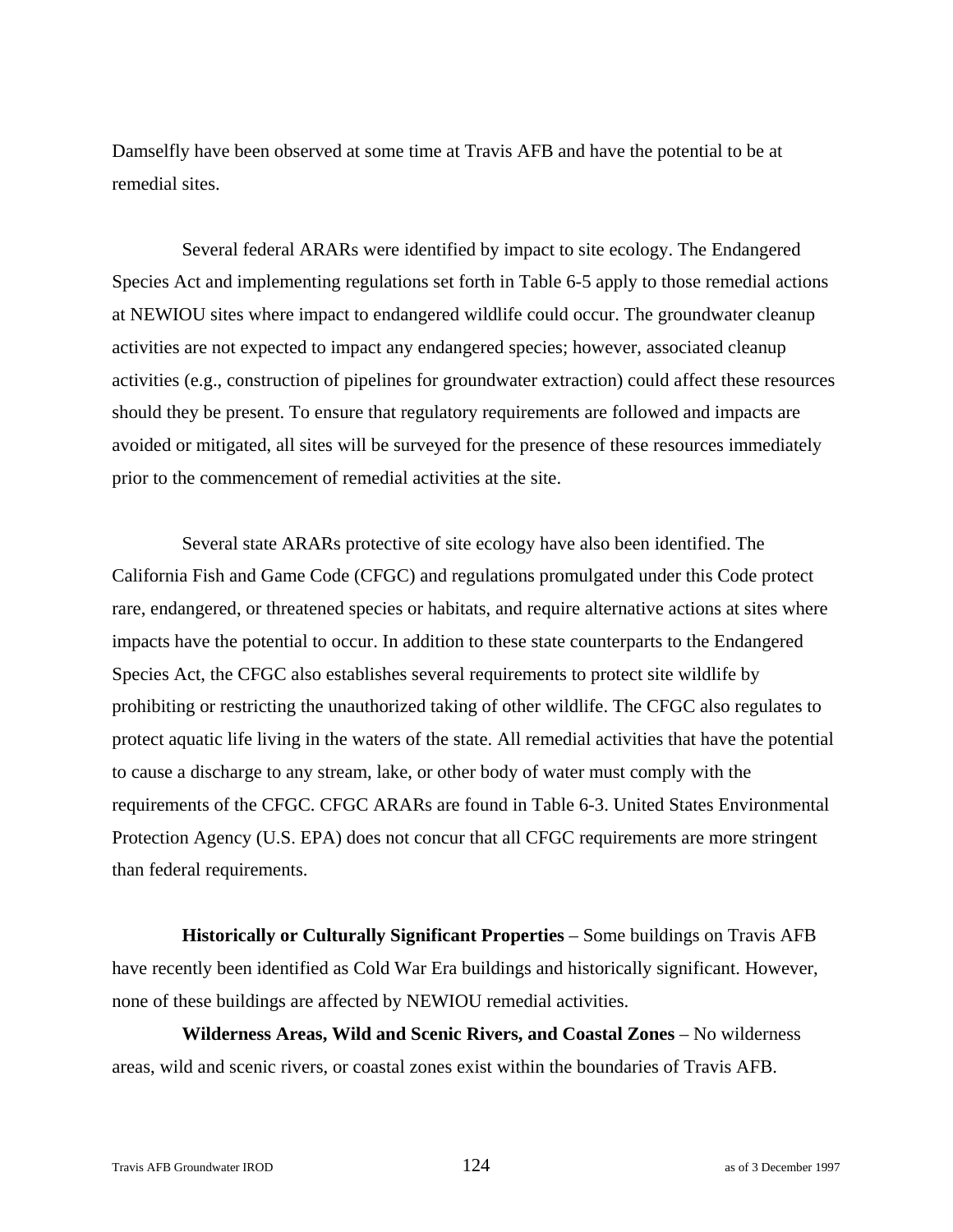Damselfly have been observed at some time at Travis AFB and have the potential to be at remedial sites.

Several federal ARARs were identified by impact to site ecology. The Endangered Species Act and implementing regulations set forth in Table 6-5 apply to those remedial actions at NEWIOU sites where impact to endangered wildlife could occur. The groundwater cleanup activities are not expected to impact any endangered species; however, associated cleanup activities (e.g., construction of pipelines for groundwater extraction) could affect these resources should they be present. To ensure that regulatory requirements are followed and impacts are avoided or mitigated, all sites will be surveyed for the presence of these resources immediately prior to the commencement of remedial activities at the site.

Several state ARARs protective of site ecology have also been identified. The California Fish and Game Code (CFGC) and regulations promulgated under this Code protect rare, endangered, or threatened species or habitats, and require alternative actions at sites where impacts have the potential to occur. In addition to these state counterparts to the Endangered Species Act, the CFGC also establishes several requirements to protect site wildlife by prohibiting or restricting the unauthorized taking of other wildlife. The CFGC also regulates to protect aquatic life living in the waters of the state. All remedial activities that have the potential to cause a discharge to any stream, lake, or other body of water must comply with the requirements of the CFGC. CFGC ARARs are found in Table 6-3. United States Environmental Protection Agency (U.S. EPA) does not concur that all CFGC requirements are more stringent than federal requirements.

**Historically or Culturally Significant Properties** – Some buildings on Travis AFB have recently been identified as Cold War Era buildings and historically significant. However, none of these buildings are affected by NEWIOU remedial activities.

**Wilderness Areas, Wild and Scenic Rivers, and Coastal Zones** – No wilderness areas, wild and scenic rivers, or coastal zones exist within the boundaries of Travis AFB.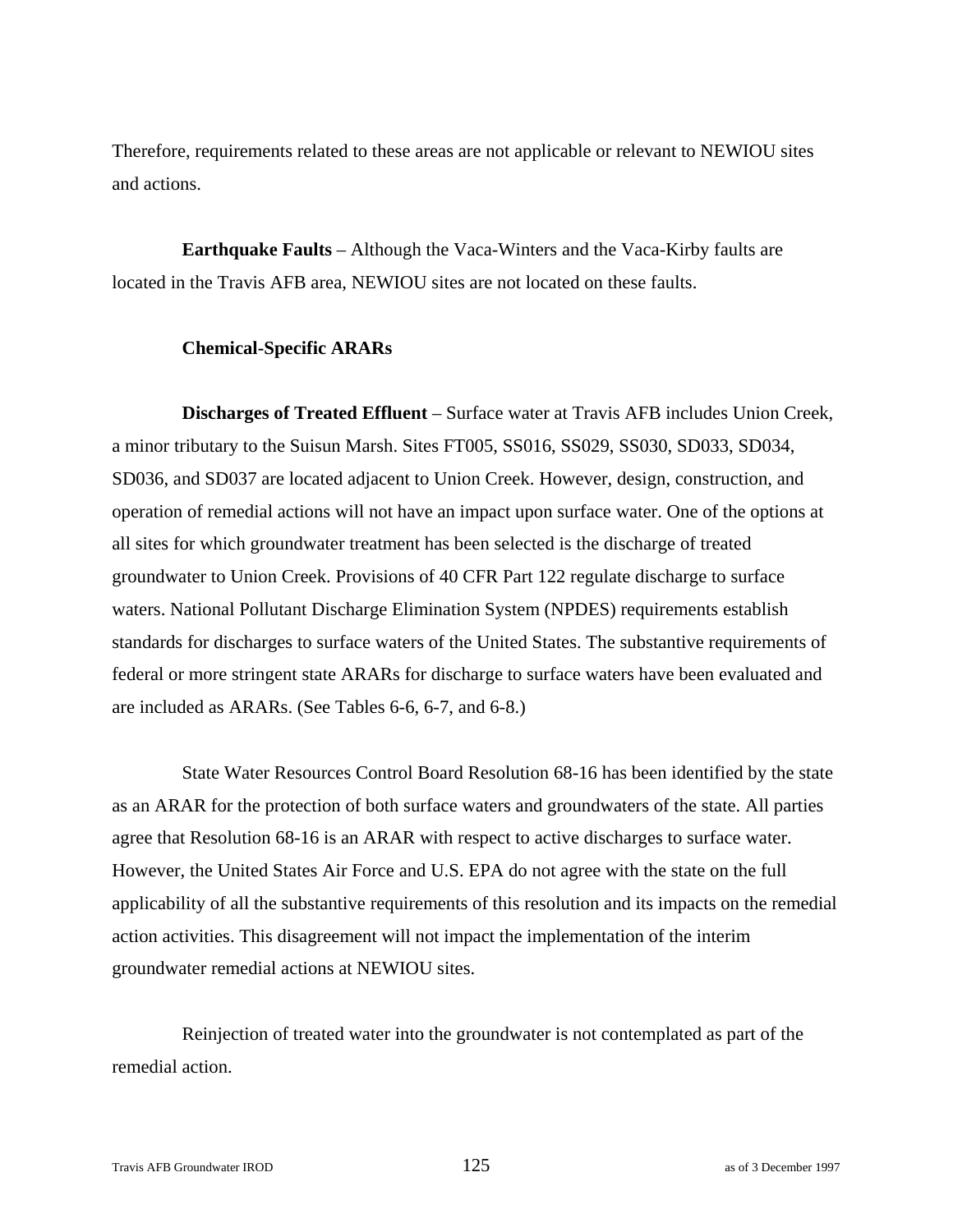Therefore, requirements related to these areas are not applicable or relevant to NEWIOU sites and actions.

**Earthquake Faults** – Although the Vaca-Winters and the Vaca-Kirby faults are located in the Travis AFB area, NEWIOU sites are not located on these faults.

#### **Chemical-Specific ARARs**

**Discharges of Treated Effluent** – Surface water at Travis AFB includes Union Creek, a minor tributary to the Suisun Marsh. Sites FT005, SS016, SS029, SS030, SD033, SD034, SD036, and SD037 are located adjacent to Union Creek. However, design, construction, and operation of remedial actions will not have an impact upon surface water. One of the options at all sites for which groundwater treatment has been selected is the discharge of treated groundwater to Union Creek. Provisions of 40 CFR Part 122 regulate discharge to surface waters. National Pollutant Discharge Elimination System (NPDES) requirements establish standards for discharges to surface waters of the United States. The substantive requirements of federal or more stringent state ARARs for discharge to surface waters have been evaluated and are included as ARARs. (See Tables 6-6, 6-7, and 6-8.)

State Water Resources Control Board Resolution 68-16 has been identified by the state as an ARAR for the protection of both surface waters and groundwaters of the state. All parties agree that Resolution 68-16 is an ARAR with respect to active discharges to surface water. However, the United States Air Force and U.S. EPA do not agree with the state on the full applicability of all the substantive requirements of this resolution and its impacts on the remedial action activities. This disagreement will not impact the implementation of the interim groundwater remedial actions at NEWIOU sites.

Reinjection of treated water into the groundwater is not contemplated as part of the remedial action.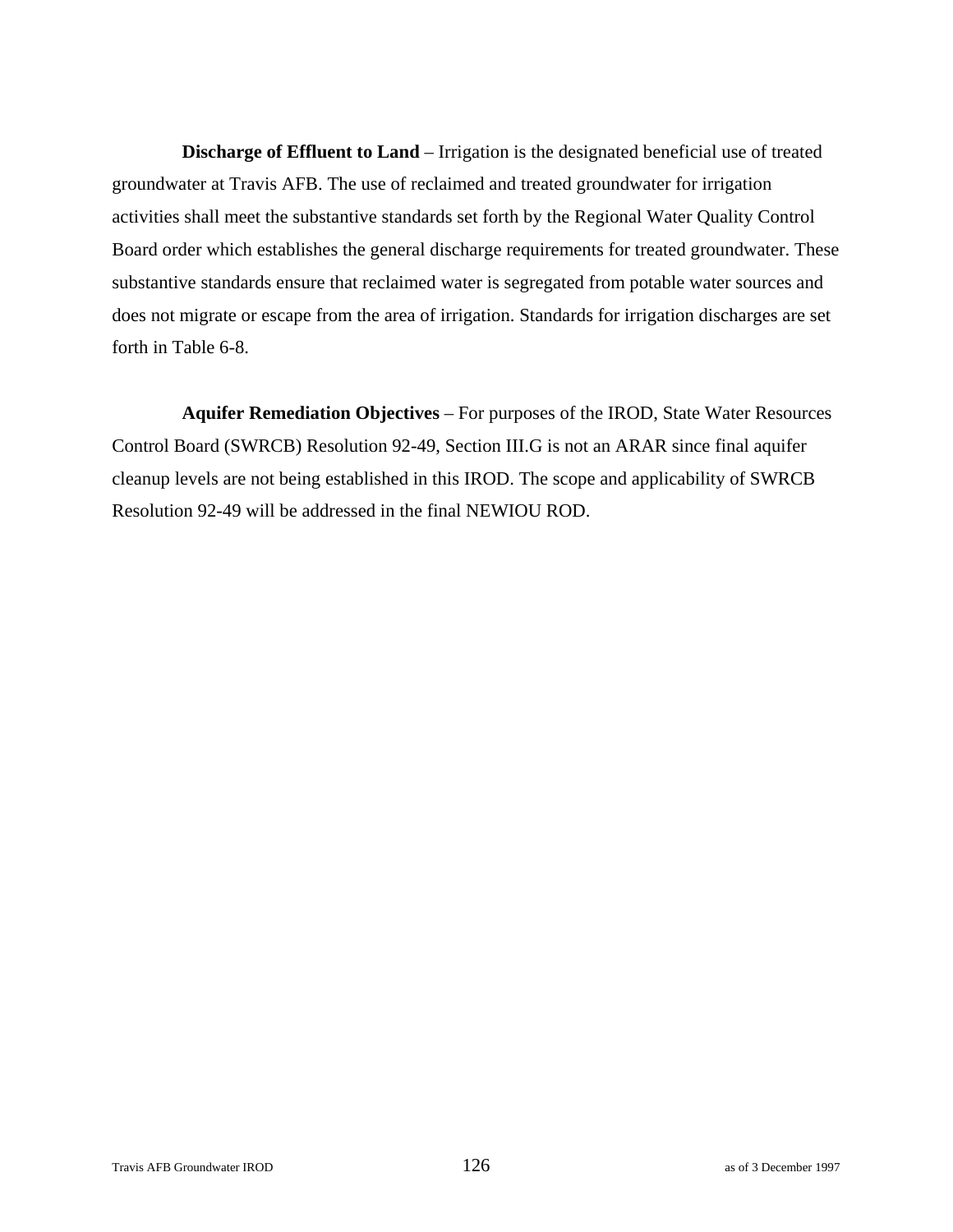**Discharge of Effluent to Land** – Irrigation is the designated beneficial use of treated groundwater at Travis AFB. The use of reclaimed and treated groundwater for irrigation activities shall meet the substantive standards set forth by the Regional Water Quality Control Board order which establishes the general discharge requirements for treated groundwater. These substantive standards ensure that reclaimed water is segregated from potable water sources and does not migrate or escape from the area of irrigation. Standards for irrigation discharges are set forth in Table 6-8.

**Aquifer Remediation Objectives** – For purposes of the IROD, State Water Resources Control Board (SWRCB) Resolution 92-49, Section III.G is not an ARAR since final aquifer cleanup levels are not being established in this IROD. The scope and applicability of SWRCB Resolution 92-49 will be addressed in the final NEWIOU ROD.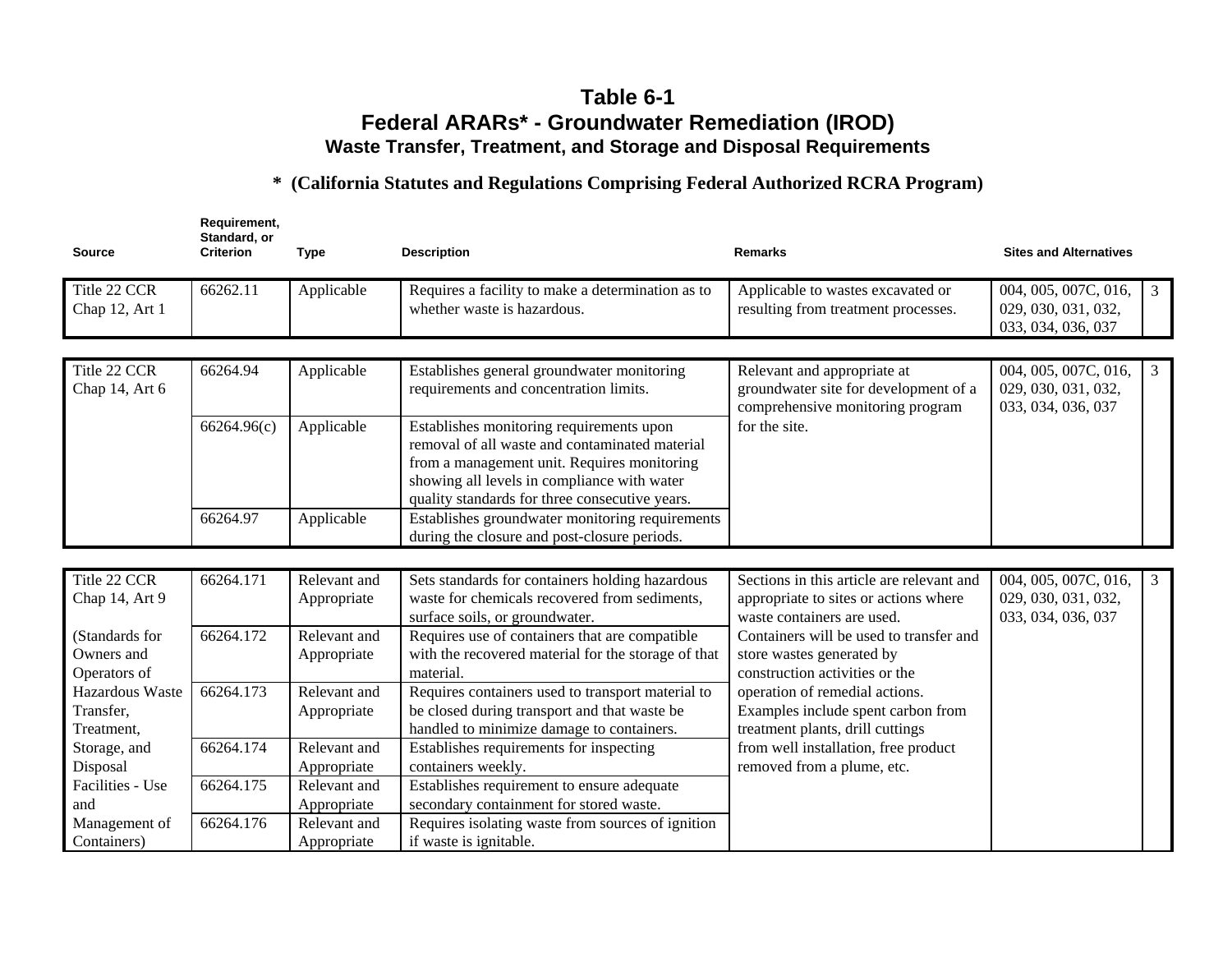# **\* (California Statutes and Regulations Comprising Federal Authorized RCRA Program)**

| <b>Source</b>                                | Requirement,<br>Standard, or<br><b>Criterion</b> | <b>Type</b>                 | <b>Description</b>                                                                                                                                                                                                                         | <b>Remarks</b>                                                                                                   | <b>Sites and Alternatives</b>                                     |                |
|----------------------------------------------|--------------------------------------------------|-----------------------------|--------------------------------------------------------------------------------------------------------------------------------------------------------------------------------------------------------------------------------------------|------------------------------------------------------------------------------------------------------------------|-------------------------------------------------------------------|----------------|
| Title 22 CCR<br>Chap 12, Art 1               | 66262.11                                         | Applicable                  | Requires a facility to make a determination as to<br>whether waste is hazardous.                                                                                                                                                           | Applicable to wastes excavated or<br>resulting from treatment processes.                                         | 004, 005, 007C, 016,<br>029, 030, 031, 032,<br>033, 034, 036, 037 | 3 <sup>7</sup> |
| Title 22 CCR<br>Chap 14, Art 6               | 66264.94                                         | Applicable                  | Establishes general groundwater monitoring<br>requirements and concentration limits.                                                                                                                                                       | Relevant and appropriate at<br>groundwater site for development of a<br>comprehensive monitoring program         | 004, 005, 007C, 016,<br>029, 030, 031, 032,<br>033, 034, 036, 037 | $\mathfrak{Z}$ |
|                                              | 66264.96(c)                                      | Applicable                  | Establishes monitoring requirements upon<br>removal of all waste and contaminated material<br>from a management unit. Requires monitoring<br>showing all levels in compliance with water<br>quality standards for three consecutive years. | for the site.                                                                                                    |                                                                   |                |
|                                              | 66264.97                                         | Applicable                  | Establishes groundwater monitoring requirements<br>during the closure and post-closure periods.                                                                                                                                            |                                                                                                                  |                                                                   |                |
| Title 22 CCR<br>Chap 14, Art 9               | 66264.171                                        | Relevant and<br>Appropriate | Sets standards for containers holding hazardous<br>waste for chemicals recovered from sediments,<br>surface soils, or groundwater.                                                                                                         | Sections in this article are relevant and<br>appropriate to sites or actions where<br>waste containers are used. | 004, 005, 007C, 016,<br>029, 030, 031, 032,<br>033, 034, 036, 037 | $\mathfrak{Z}$ |
| (Standards for<br>Owners and<br>Operators of | 66264.172                                        | Relevant and<br>Appropriate | Requires use of containers that are compatible<br>with the recovered material for the storage of that<br>material.                                                                                                                         | Containers will be used to transfer and<br>store wastes generated by<br>construction activities or the           |                                                                   |                |
| Hazardous Waste<br>Transfer,<br>Treatment,   | 66264.173                                        | Relevant and<br>Appropriate | Requires containers used to transport material to<br>be closed during transport and that waste be<br>handled to minimize damage to containers.                                                                                             | operation of remedial actions.<br>Examples include spent carbon from<br>treatment plants, drill cuttings         |                                                                   |                |
| Storage, and<br>Disposal                     | 66264.174                                        | Relevant and<br>Appropriate | Establishes requirements for inspecting<br>containers weekly.                                                                                                                                                                              | from well installation, free product<br>removed from a plume, etc.                                               |                                                                   |                |
| Facilities - Use<br>and                      | 66264.175                                        | Relevant and<br>Appropriate | Establishes requirement to ensure adequate<br>secondary containment for stored waste.                                                                                                                                                      |                                                                                                                  |                                                                   |                |
| Management of                                | 66264.176                                        | Relevant and                | Requires isolating waste from sources of ignition                                                                                                                                                                                          |                                                                                                                  |                                                                   |                |

Containers)

Appropriate

if waste is ignitable.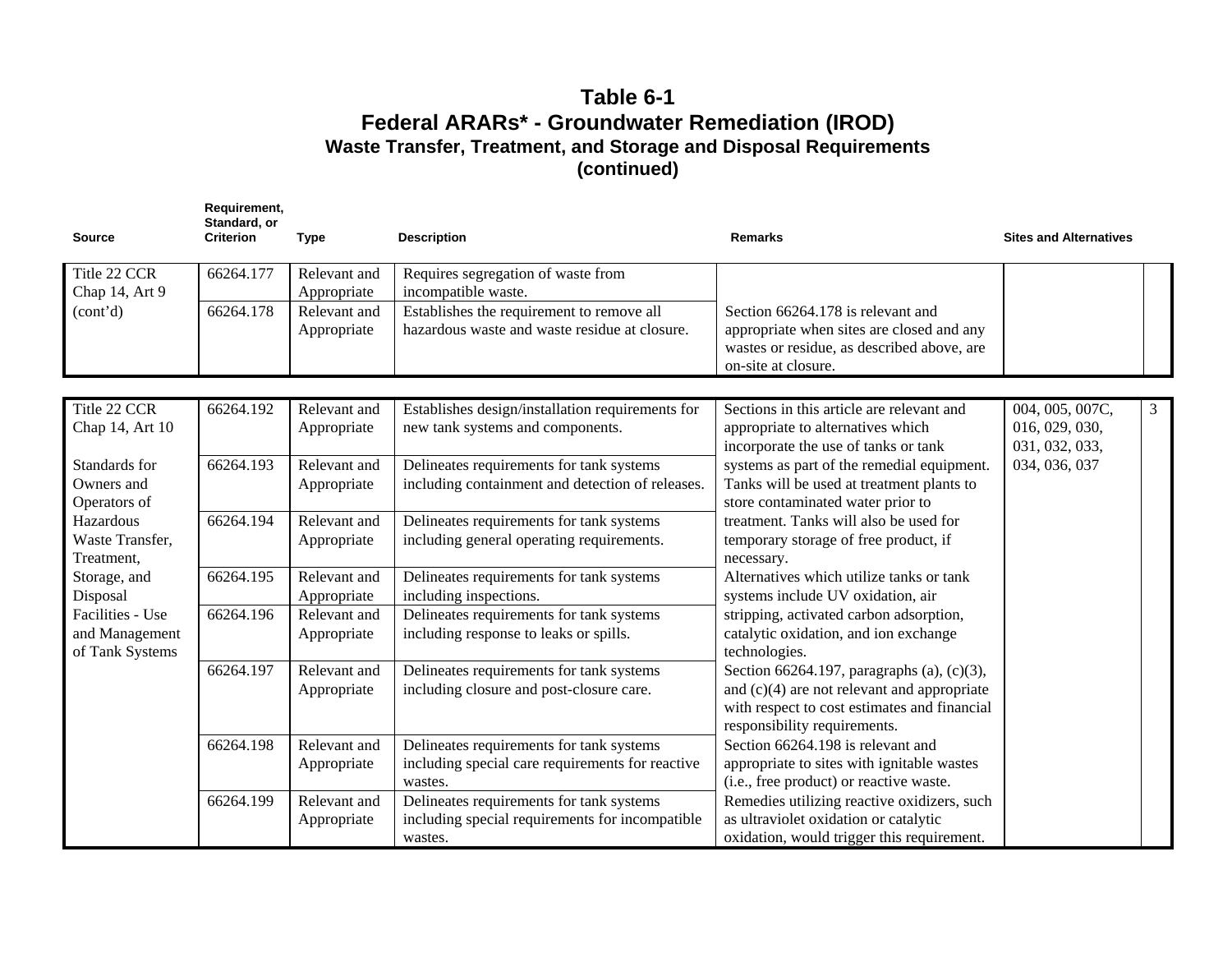| <b>Source</b>                                         | Requirement,<br>Standard, or<br><b>Criterion</b> | <b>Type</b>                 | <b>Description</b>                                                                                      | <b>Remarks</b>                                                                                                                                                              | <b>Sites and Alternatives</b>                            |
|-------------------------------------------------------|--------------------------------------------------|-----------------------------|---------------------------------------------------------------------------------------------------------|-----------------------------------------------------------------------------------------------------------------------------------------------------------------------------|----------------------------------------------------------|
| Title 22 CCR<br>Chap 14, Art 9                        | 66264.177                                        | Relevant and<br>Appropriate | Requires segregation of waste from<br>incompatible waste.                                               |                                                                                                                                                                             |                                                          |
| (cont'd)                                              | 66264.178                                        | Relevant and<br>Appropriate | Establishes the requirement to remove all<br>hazardous waste and waste residue at closure.              | Section 66264.178 is relevant and<br>appropriate when sites are closed and any<br>wastes or residue, as described above, are<br>on-site at closure.                         |                                                          |
| Title 22 CCR<br>Chap 14, Art 10                       | 66264.192                                        | Relevant and<br>Appropriate | Establishes design/installation requirements for<br>new tank systems and components.                    | Sections in this article are relevant and<br>appropriate to alternatives which<br>incorporate the use of tanks or tank                                                      | 004, 005, 007C,<br>3<br>016, 029, 030,<br>031, 032, 033, |
| Standards for<br>Owners and<br>Operators of           | 66264.193                                        | Relevant and<br>Appropriate | Delineates requirements for tank systems<br>including containment and detection of releases.            | systems as part of the remedial equipment.<br>Tanks will be used at treatment plants to<br>store contaminated water prior to                                                | 034, 036, 037                                            |
| Hazardous<br>Waste Transfer,<br>Treatment.            | 66264.194                                        | Relevant and<br>Appropriate | Delineates requirements for tank systems<br>including general operating requirements.                   | treatment. Tanks will also be used for<br>temporary storage of free product, if<br>necessary.                                                                               |                                                          |
| Storage, and<br>Disposal                              | 66264.195                                        | Relevant and<br>Appropriate | Delineates requirements for tank systems<br>including inspections.                                      | Alternatives which utilize tanks or tank<br>systems include UV oxidation, air                                                                                               |                                                          |
| Facilities - Use<br>and Management<br>of Tank Systems | 66264.196                                        | Relevant and<br>Appropriate | Delineates requirements for tank systems<br>including response to leaks or spills.                      | stripping, activated carbon adsorption,<br>catalytic oxidation, and ion exchange<br>technologies.                                                                           |                                                          |
|                                                       | 66264.197                                        | Relevant and<br>Appropriate | Delineates requirements for tank systems<br>including closure and post-closure care.                    | Section 66264.197, paragraphs (a), (c)(3),<br>and $(c)(4)$ are not relevant and appropriate<br>with respect to cost estimates and financial<br>responsibility requirements. |                                                          |
|                                                       | 66264.198                                        | Relevant and<br>Appropriate | Delineates requirements for tank systems<br>including special care requirements for reactive<br>wastes. | Section 66264.198 is relevant and<br>appropriate to sites with ignitable wastes<br>(i.e., free product) or reactive waste.                                                  |                                                          |
|                                                       | 66264.199                                        | Relevant and<br>Appropriate | Delineates requirements for tank systems<br>including special requirements for incompatible<br>wastes.  | Remedies utilizing reactive oxidizers, such<br>as ultraviolet oxidation or catalytic<br>oxidation, would trigger this requirement.                                          |                                                          |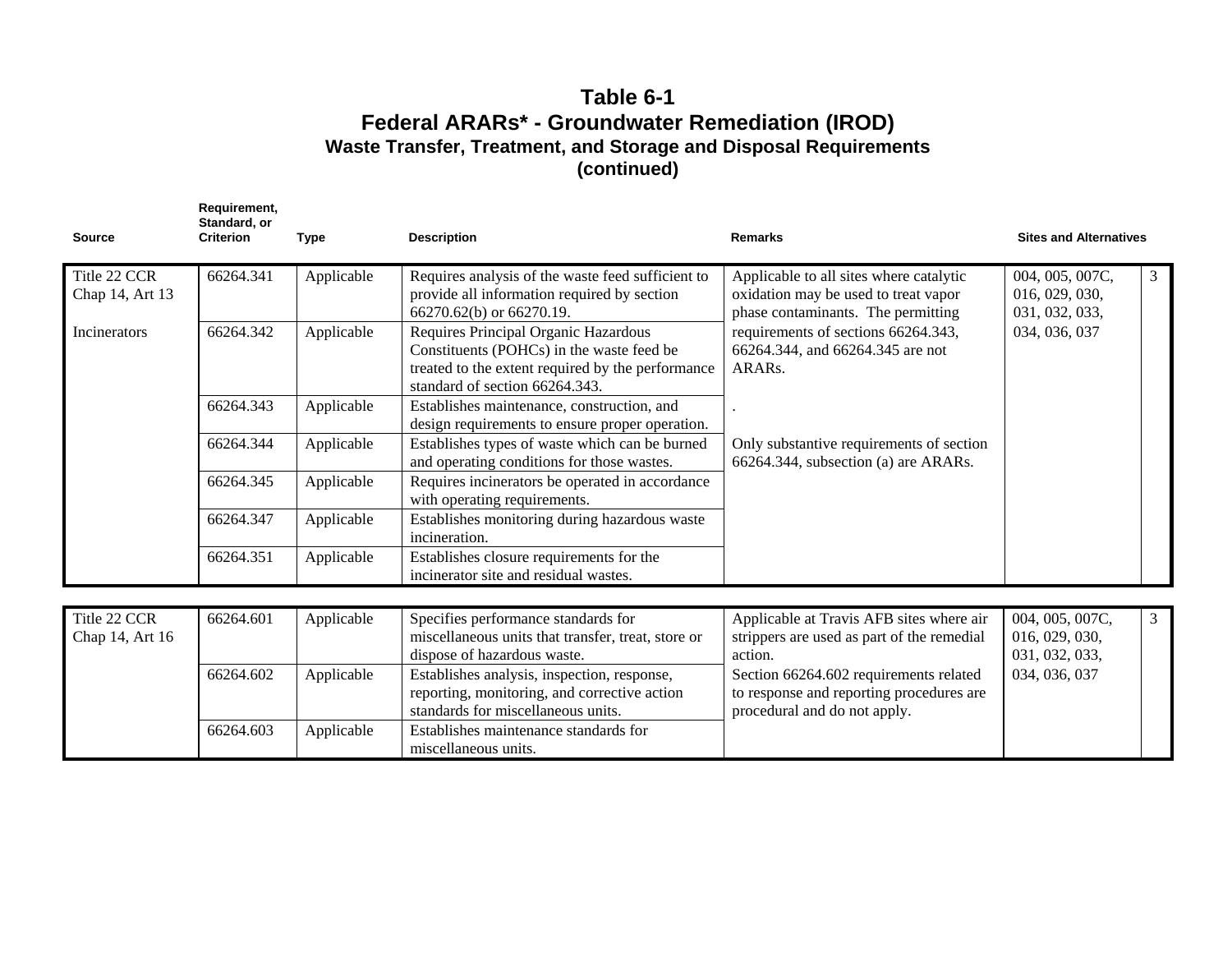| <b>Source</b>                   | Requirement,<br>Standard, or<br><b>Criterion</b> | <b>Type</b> | <b>Description</b>                                                                                                                                                       | <b>Remarks</b>                                                                                                        | <b>Sites and Alternatives</b>                            |
|---------------------------------|--------------------------------------------------|-------------|--------------------------------------------------------------------------------------------------------------------------------------------------------------------------|-----------------------------------------------------------------------------------------------------------------------|----------------------------------------------------------|
| Title 22 CCR<br>Chap 14, Art 13 | 66264.341                                        | Applicable  | Requires analysis of the waste feed sufficient to<br>provide all information required by section<br>66270.62(b) or 66270.19.                                             | Applicable to all sites where catalytic<br>oxidation may be used to treat vapor<br>phase contaminants. The permitting | 3<br>004, 005, 007C,<br>016, 029, 030,<br>031, 032, 033, |
| Incinerators                    | 66264.342                                        | Applicable  | Requires Principal Organic Hazardous<br>Constituents (POHCs) in the waste feed be<br>treated to the extent required by the performance<br>standard of section 66264.343. | requirements of sections 66264.343,<br>66264.344, and 66264.345 are not<br>ARAR <sub>s</sub> .                        | 034, 036, 037                                            |
|                                 | 66264.343                                        | Applicable  | Establishes maintenance, construction, and<br>design requirements to ensure proper operation.                                                                            |                                                                                                                       |                                                          |
|                                 | 66264.344                                        | Applicable  | Establishes types of waste which can be burned<br>and operating conditions for those wastes.                                                                             | Only substantive requirements of section<br>66264.344, subsection (a) are ARARs.                                      |                                                          |
|                                 | 66264.345                                        | Applicable  | Requires incinerators be operated in accordance<br>with operating requirements.                                                                                          |                                                                                                                       |                                                          |
|                                 | 66264.347                                        | Applicable  | Establishes monitoring during hazardous waste<br>incineration.                                                                                                           |                                                                                                                       |                                                          |
|                                 | 66264.351                                        | Applicable  | Establishes closure requirements for the<br>incinerator site and residual wastes.                                                                                        |                                                                                                                       |                                                          |
|                                 |                                                  |             |                                                                                                                                                                          |                                                                                                                       |                                                          |
| Title 22 CCR<br>Chap 14, Art 16 | 66264.601                                        | Applicable  | Specifies performance standards for<br>miscellaneous units that transfer, treat, store or<br>dispose of hazardous waste.                                                 | Applicable at Travis AFB sites where air<br>strippers are used as part of the remedial<br>action.                     | 3<br>004, 005, 007C,<br>016, 029, 030,<br>031, 032, 033, |
|                                 | 66264.602                                        | Applicable  | Establishes analysis, inspection, response,<br>reporting, monitoring, and corrective action<br>standards for miscellaneous units.                                        | Section 66264.602 requirements related<br>to response and reporting procedures are<br>procedural and do not apply.    | 034, 036, 037                                            |
|                                 | 66264.603                                        | Applicable  | Establishes maintenance standards for<br>miscellaneous units.                                                                                                            |                                                                                                                       |                                                          |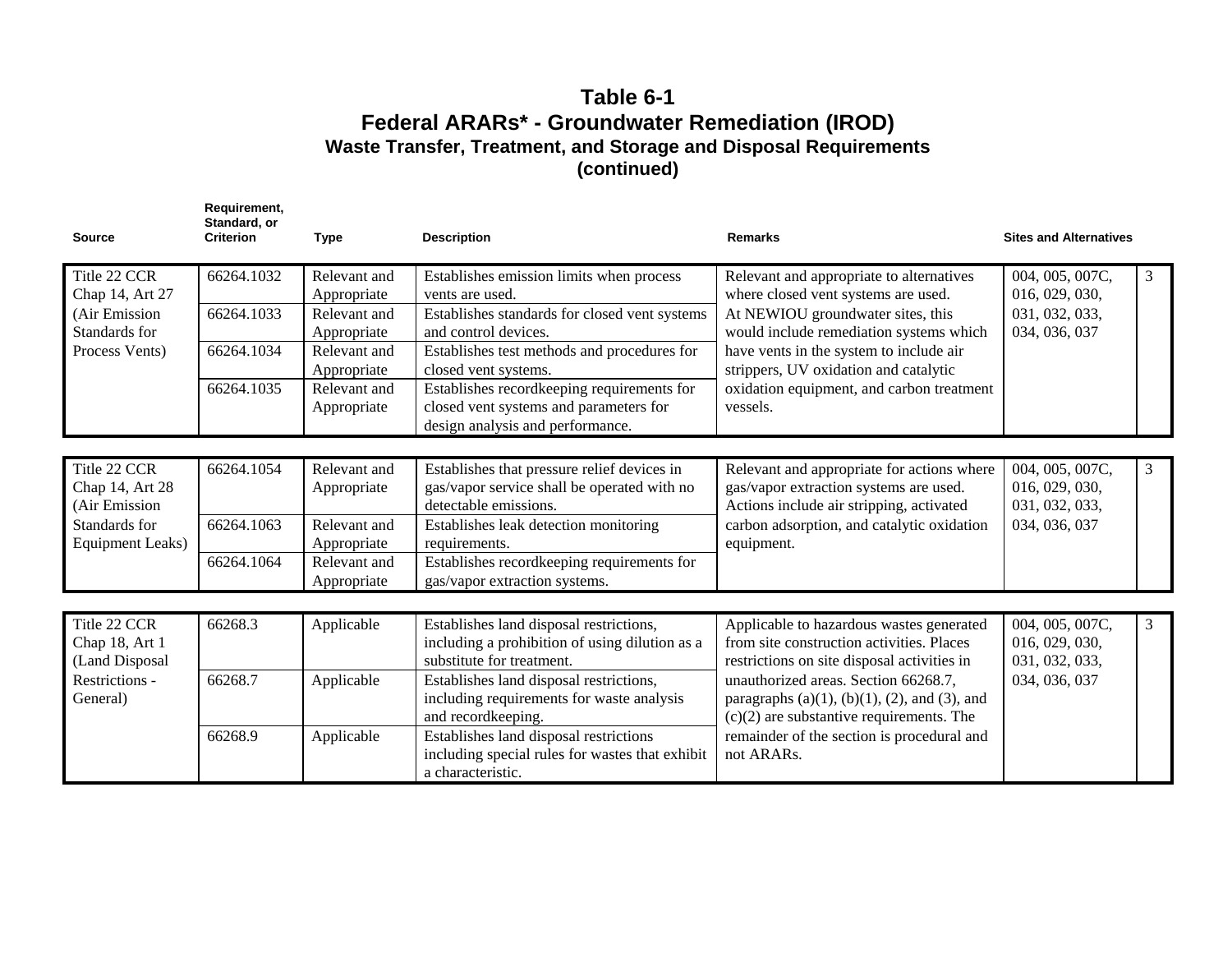| <b>Source</b>                                                                                | Requirement,<br>Standard, or<br><b>Criterion</b>     | <b>Type</b>                                                                                                              | <b>Description</b>                                                                                                                                                                                                                                                                                                                                     | <b>Remarks</b>                                                                                                                                                                                                                                                                                                                                      | <b>Sites and Alternatives</b>                                             |
|----------------------------------------------------------------------------------------------|------------------------------------------------------|--------------------------------------------------------------------------------------------------------------------------|--------------------------------------------------------------------------------------------------------------------------------------------------------------------------------------------------------------------------------------------------------------------------------------------------------------------------------------------------------|-----------------------------------------------------------------------------------------------------------------------------------------------------------------------------------------------------------------------------------------------------------------------------------------------------------------------------------------------------|---------------------------------------------------------------------------|
| Title 22 CCR<br>Chap 14, Art 27<br>(Air Emission<br>Standards for<br>Process Vents)          | 66264.1032<br>66264.1033<br>66264.1034<br>66264.1035 | Relevant and<br>Appropriate<br>Relevant and<br>Appropriate<br>Relevant and<br>Appropriate<br>Relevant and<br>Appropriate | Establishes emission limits when process<br>vents are used.<br>Establishes standards for closed vent systems<br>and control devices.<br>Establishes test methods and procedures for<br>closed vent systems.<br>Establishes recordkeeping requirements for<br>closed vent systems and parameters for<br>design analysis and performance.                | Relevant and appropriate to alternatives<br>where closed vent systems are used.<br>At NEWIOU groundwater sites, this<br>would include remediation systems which<br>have vents in the system to include air<br>strippers, UV oxidation and catalytic<br>oxidation equipment, and carbon treatment<br>vessels.                                        | 004, 005, 007C,<br>3<br>016, 029, 030,<br>031, 032, 033,<br>034, 036, 037 |
| Title 22 CCR<br>Chap 14, Art 28<br>(Air Emission<br>Standards for<br><b>Equipment Leaks)</b> | 66264.1054<br>66264.1063<br>66264.1064               | Relevant and<br>Appropriate<br>Relevant and<br>Appropriate<br>Relevant and<br>Appropriate                                | Establishes that pressure relief devices in<br>gas/vapor service shall be operated with no<br>detectable emissions.<br>Establishes leak detection monitoring<br>requirements.<br>Establishes recordkeeping requirements for<br>gas/vapor extraction systems.                                                                                           | Relevant and appropriate for actions where<br>gas/vapor extraction systems are used.<br>Actions include air stripping, activated<br>carbon adsorption, and catalytic oxidation<br>equipment.                                                                                                                                                        | 004, 005, 007C,<br>3<br>016, 029, 030,<br>031, 032, 033,<br>034, 036, 037 |
| Title 22 CCR<br>Chap 18, Art 1<br>(Land Disposal<br>Restrictions -<br>General)               | 66268.3<br>66268.7<br>66268.9                        | Applicable<br>Applicable<br>Applicable                                                                                   | Establishes land disposal restrictions,<br>including a prohibition of using dilution as a<br>substitute for treatment.<br>Establishes land disposal restrictions,<br>including requirements for waste analysis<br>and recordkeeping.<br>Establishes land disposal restrictions<br>including special rules for wastes that exhibit<br>a characteristic. | Applicable to hazardous wastes generated<br>from site construction activities. Places<br>restrictions on site disposal activities in<br>unauthorized areas. Section 66268.7,<br>paragraphs (a) $(1)$ , $(b)(1)$ , $(2)$ , and $(3)$ , and<br>$(c)(2)$ are substantive requirements. The<br>remainder of the section is procedural and<br>not ARARs. | 004, 005, 007C,<br>3<br>016, 029, 030,<br>031, 032, 033,<br>034, 036, 037 |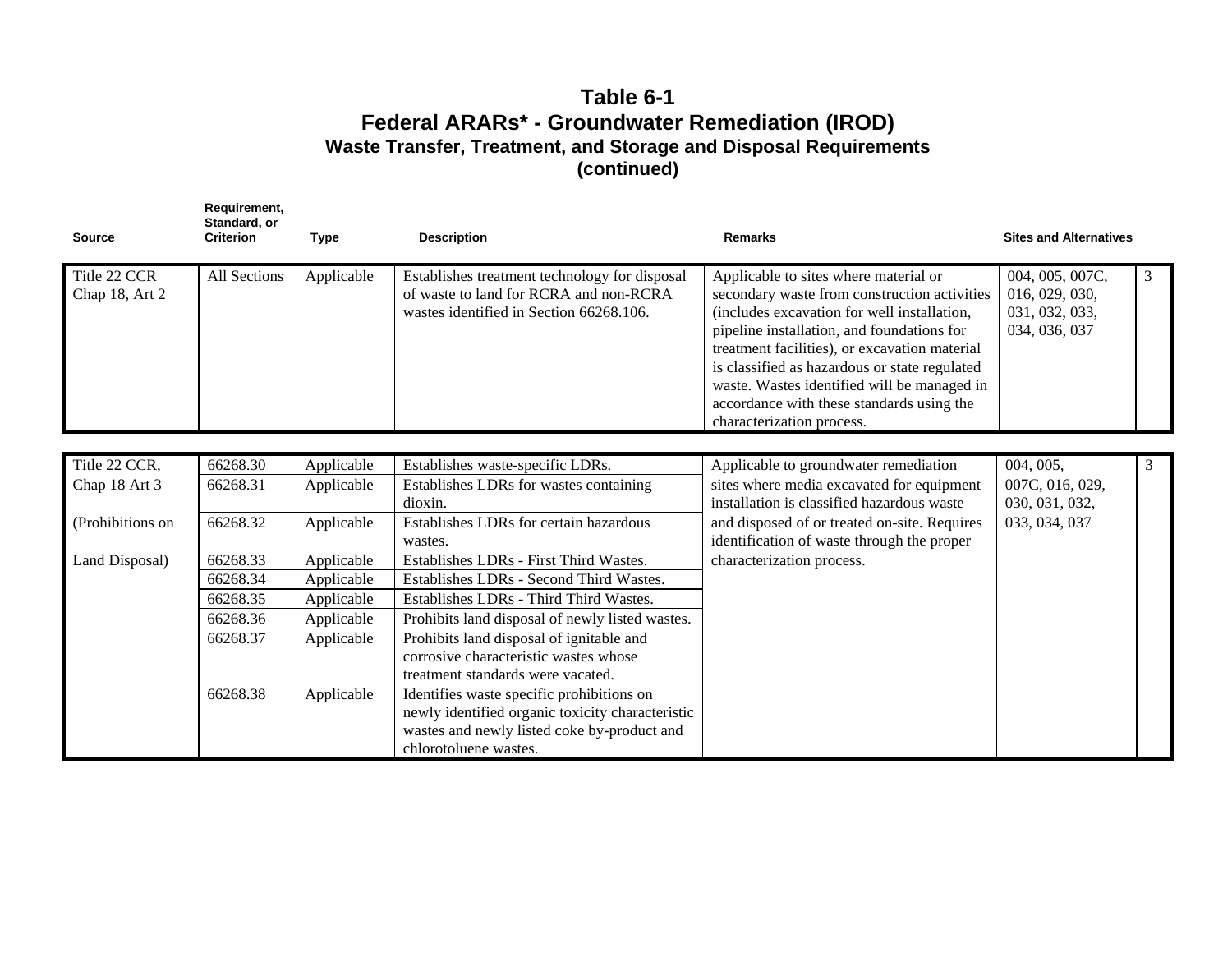| <b>Source</b>                  | Requirement,<br>Standard, or<br><b>Criterion</b> | Type               | <b>Description</b>                                                                                                                 | <b>Remarks</b>                                                                                                                                                                                                                                                                                                                                                                                                | <b>Sites and Alternatives</b>                                        |   |
|--------------------------------|--------------------------------------------------|--------------------|------------------------------------------------------------------------------------------------------------------------------------|---------------------------------------------------------------------------------------------------------------------------------------------------------------------------------------------------------------------------------------------------------------------------------------------------------------------------------------------------------------------------------------------------------------|----------------------------------------------------------------------|---|
| Title 22 CCR<br>Chap 18, Art 2 | <b>All Sections</b>                              | Applicable         | Establishes treatment technology for disposal<br>of waste to land for RCRA and non-RCRA<br>wastes identified in Section 66268.106. | Applicable to sites where material or<br>secondary waste from construction activities<br>(includes excavation for well installation,<br>pipeline installation, and foundations for<br>treatment facilities), or excavation material<br>is classified as hazardous or state regulated<br>waste. Wastes identified will be managed in<br>accordance with these standards using the<br>characterization process. | 004, 005, 007C,<br>016, 029, 030,<br>031, 032, 033,<br>034, 036, 037 | 3 |
|                                |                                                  |                    |                                                                                                                                    |                                                                                                                                                                                                                                                                                                                                                                                                               |                                                                      |   |
| Title 22 CCR,                  | 66268.30                                         | Applicable         | Establishes waste-specific LDRs.                                                                                                   | Applicable to groundwater remediation                                                                                                                                                                                                                                                                                                                                                                         | 004, 005,                                                            | 3 |
| Chap 18 Art 3                  | 66268.31                                         | Applicable         | Establishes LDRs for wastes containing                                                                                             | sites where media excavated for equipment                                                                                                                                                                                                                                                                                                                                                                     | 007C, 016, 029,                                                      |   |
|                                |                                                  |                    | dioxin.                                                                                                                            | installation is classified hazardous waste                                                                                                                                                                                                                                                                                                                                                                    | 030, 031, 032,                                                       |   |
| (Prohibitions on               | 66268.32                                         | Applicable         | Establishes LDRs for certain hazardous                                                                                             | and disposed of or treated on-site. Requires                                                                                                                                                                                                                                                                                                                                                                  | 033, 034, 037                                                        |   |
|                                |                                                  |                    | wastes.                                                                                                                            | identification of waste through the proper                                                                                                                                                                                                                                                                                                                                                                    |                                                                      |   |
| Land Disposal)                 | 66268.33                                         | Applicable         | Establishes LDRs - First Third Wastes.                                                                                             | characterization process.                                                                                                                                                                                                                                                                                                                                                                                     |                                                                      |   |
|                                | 66268.34                                         | Applicable         | Establishes LDRs - Second Third Wastes.                                                                                            |                                                                                                                                                                                                                                                                                                                                                                                                               |                                                                      |   |
|                                | 66268.35                                         | Applicable         | Establishes LDRs - Third Third Wastes.                                                                                             |                                                                                                                                                                                                                                                                                                                                                                                                               |                                                                      |   |
|                                | 6626836                                          | $\Delta$ nnlicahle | Prohibite land dienosal of newly listed wastes                                                                                     |                                                                                                                                                                                                                                                                                                                                                                                                               |                                                                      |   |

| 66268.34 | Applicable | Establishes LDRs - Second Third Wastes.          |
|----------|------------|--------------------------------------------------|
| 66268.35 | Applicable | Establishes LDRs - Third Third Wastes.           |
| 66268.36 | Applicable | Prohibits land disposal of newly listed wastes.  |
| 66268.37 | Applicable | Prohibits land disposal of ignitable and         |
|          |            | corrosive characteristic wastes whose            |
|          |            | treatment standards were vacated.                |
| 66268.38 | Applicable | Identifies waste specific prohibitions on        |
|          |            | newly identified organic toxicity characteristic |
|          |            | wastes and newly listed coke by-product and      |
|          |            | chlorotoluene wastes.                            |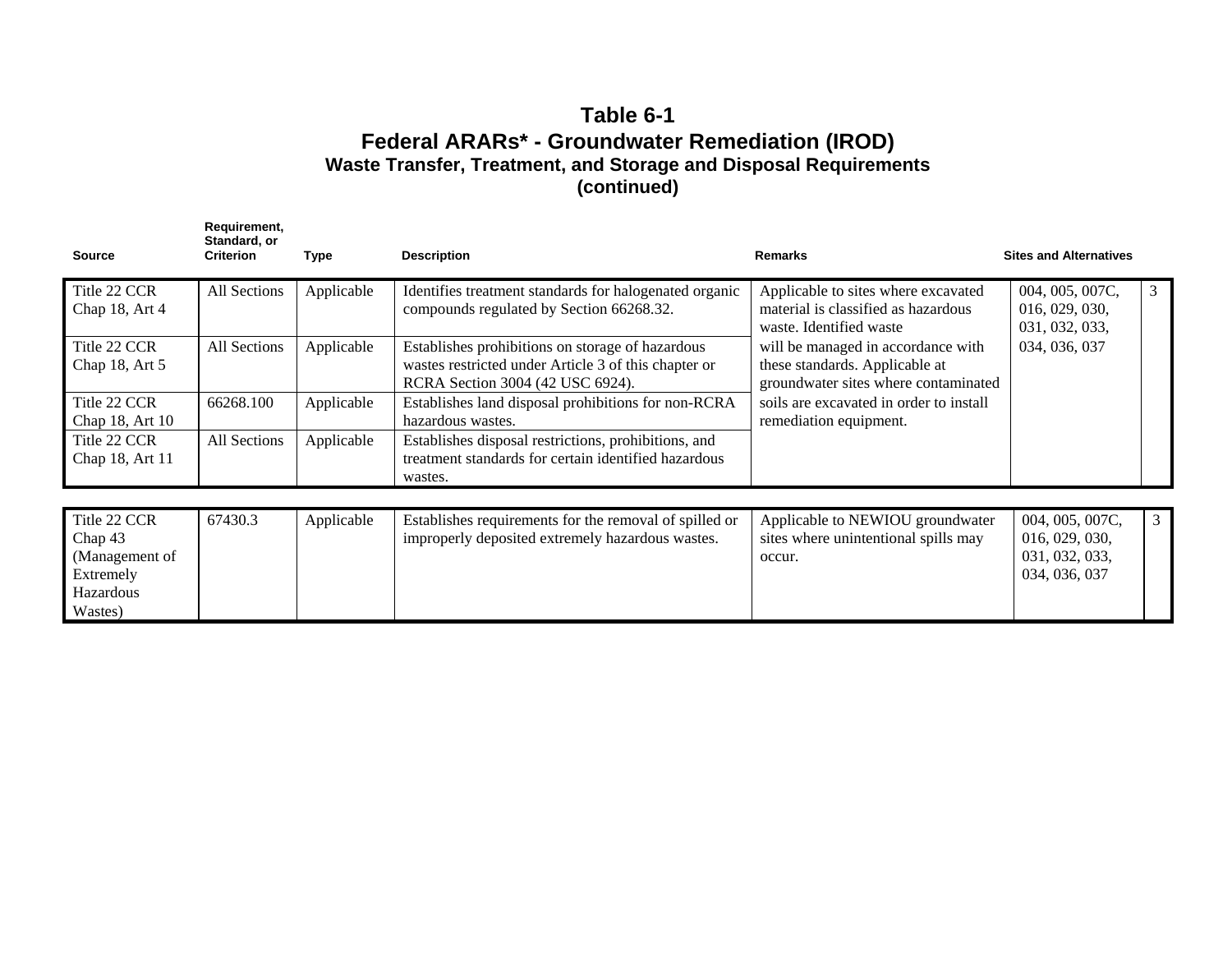| <b>Source</b>                                                                  | Requirement,<br>Standard, or<br><b>Criterion</b> | Type       | <b>Description</b>                                                                                                                           | <b>Remarks</b>                                                                                               | <b>Sites and Alternatives</b>                                                          |
|--------------------------------------------------------------------------------|--------------------------------------------------|------------|----------------------------------------------------------------------------------------------------------------------------------------------|--------------------------------------------------------------------------------------------------------------|----------------------------------------------------------------------------------------|
| Title 22 CCR<br>Chap 18, Art 4                                                 | All Sections                                     | Applicable | Identifies treatment standards for halogenated organic<br>compounds regulated by Section 66268.32.                                           | Applicable to sites where excavated<br>material is classified as hazardous<br>waste. Identified waste        | 004, 005, 007C,<br>3<br>016, 029, 030,<br>031, 032, 033,                               |
| Title 22 CCR<br>Chap 18, Art 5                                                 | All Sections                                     | Applicable | Establishes prohibitions on storage of hazardous<br>wastes restricted under Article 3 of this chapter or<br>RCRA Section 3004 (42 USC 6924). | will be managed in accordance with<br>these standards. Applicable at<br>groundwater sites where contaminated | 034, 036, 037                                                                          |
| Title 22 CCR<br>Chap 18, Art 10                                                | 66268.100                                        | Applicable | Establishes land disposal prohibitions for non-RCRA<br>hazardous wastes.                                                                     | soils are excavated in order to install<br>remediation equipment.                                            |                                                                                        |
| Title 22 CCR<br>Chap 18, Art 11                                                | All Sections                                     | Applicable | Establishes disposal restrictions, prohibitions, and<br>treatment standards for certain identified hazardous<br>wastes.                      |                                                                                                              |                                                                                        |
| Title 22 CCR<br>Chap 43<br>(Management of<br>Extremely<br>Hazardous<br>Wastes) | 67430.3                                          | Applicable | Establishes requirements for the removal of spilled or<br>improperly deposited extremely hazardous wastes.                                   | Applicable to NEWIOU groundwater<br>sites where unintentional spills may<br>occur.                           | $\mathfrak{Z}$<br>004, 005, 007C,<br>016, 029, 030,<br>031, 032, 033,<br>034, 036, 037 |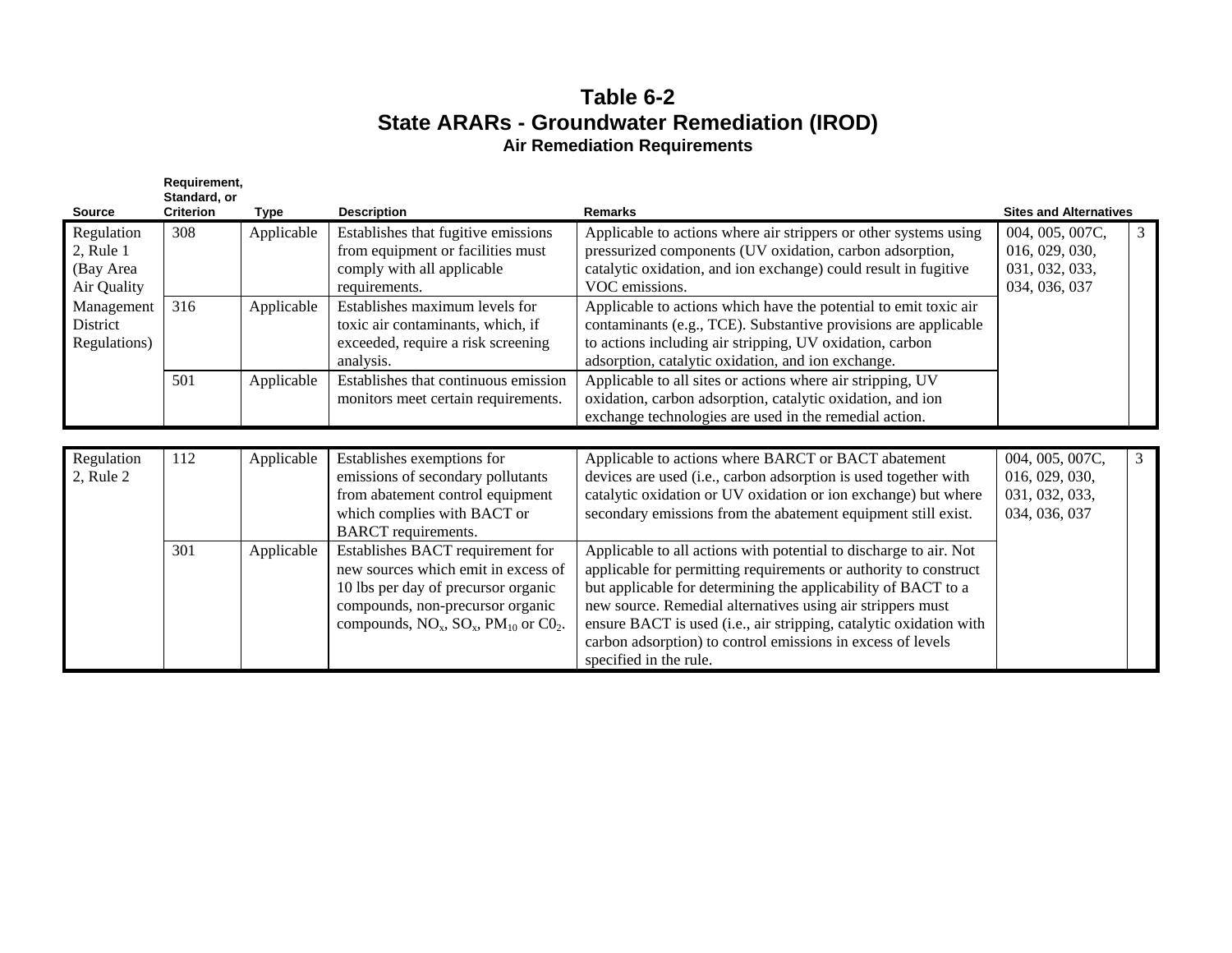### **Table 6-2 State ARARs - Groundwater Remediation (IROD) Air Remediation Requirements**

|                                                        | Requirement,<br>Standard, or |             |                                                                                                                                                                                                          |                                                                                                                                                                                                                                                                                                                                                                                                                                     |                                                                      |   |
|--------------------------------------------------------|------------------------------|-------------|----------------------------------------------------------------------------------------------------------------------------------------------------------------------------------------------------------|-------------------------------------------------------------------------------------------------------------------------------------------------------------------------------------------------------------------------------------------------------------------------------------------------------------------------------------------------------------------------------------------------------------------------------------|----------------------------------------------------------------------|---|
| <b>Source</b>                                          | <b>Criterion</b>             | <b>Type</b> | <b>Description</b>                                                                                                                                                                                       | <b>Remarks</b>                                                                                                                                                                                                                                                                                                                                                                                                                      | <b>Sites and Alternatives</b>                                        |   |
| Regulation<br>$2$ , Rule 1<br>(Bay Area<br>Air Quality | 308                          | Applicable  | Establishes that fugitive emissions<br>from equipment or facilities must<br>comply with all applicable<br>requirements.                                                                                  | Applicable to actions where air strippers or other systems using<br>pressurized components (UV oxidation, carbon adsorption,<br>catalytic oxidation, and ion exchange) could result in fugitive<br>VOC emissions.                                                                                                                                                                                                                   | 004, 005, 007C,<br>016, 029, 030,<br>031, 032, 033,<br>034, 036, 037 | 3 |
| Management<br>District<br>Regulations)                 | 316                          | Applicable  | Establishes maximum levels for<br>toxic air contaminants, which, if<br>exceeded, require a risk screening<br>analysis.                                                                                   | Applicable to actions which have the potential to emit toxic air<br>contaminants (e.g., TCE). Substantive provisions are applicable<br>to actions including air stripping, UV oxidation, carbon<br>adsorption, catalytic oxidation, and ion exchange.                                                                                                                                                                               |                                                                      |   |
|                                                        | 501                          | Applicable  | Establishes that continuous emission<br>monitors meet certain requirements.                                                                                                                              | Applicable to all sites or actions where air stripping, UV<br>oxidation, carbon adsorption, catalytic oxidation, and ion<br>exchange technologies are used in the remedial action.                                                                                                                                                                                                                                                  |                                                                      |   |
| Regulation<br>$2$ , Rule $2$                           | 112                          | Applicable  | Establishes exemptions for<br>emissions of secondary pollutants<br>from abatement control equipment<br>which complies with BACT or<br><b>BARCT</b> requirements.                                         | Applicable to actions where BARCT or BACT abatement<br>devices are used (i.e., carbon adsorption is used together with<br>catalytic oxidation or UV oxidation or ion exchange) but where<br>secondary emissions from the abatement equipment still exist.                                                                                                                                                                           | 004, 005, 007C,<br>016, 029, 030,<br>031, 032, 033,<br>034, 036, 037 | 3 |
|                                                        | 301                          | Applicable  | Establishes BACT requirement for<br>new sources which emit in excess of<br>10 lbs per day of precursor organic<br>compounds, non-precursor organic<br>compounds, $NO_x$ , $SO_x$ , $PM_{10}$ or $CO_2$ . | Applicable to all actions with potential to discharge to air. Not<br>applicable for permitting requirements or authority to construct<br>but applicable for determining the applicability of BACT to a<br>new source. Remedial alternatives using air strippers must<br>ensure BACT is used (i.e., air stripping, catalytic oxidation with<br>carbon adsorption) to control emissions in excess of levels<br>specified in the rule. |                                                                      |   |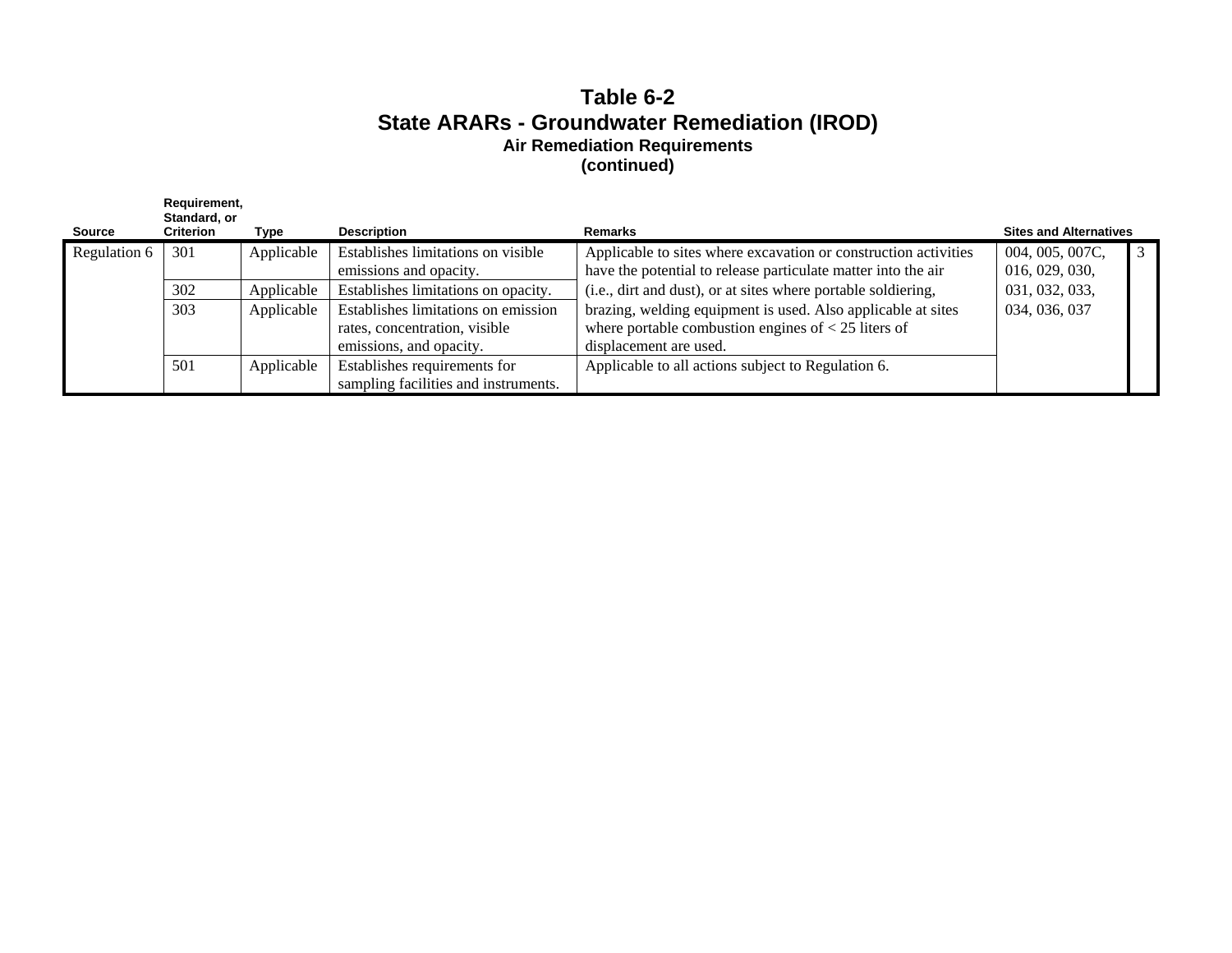### **Table 6-2 State ARARs - Groundwater Remediation (IROD) Air Remediation Requirements (continued)**

|              | Requirement,<br>Standard, or |            |                                      |                                                                 |                               |  |
|--------------|------------------------------|------------|--------------------------------------|-----------------------------------------------------------------|-------------------------------|--|
| Source       | <b>Criterion</b>             | Type       | <b>Description</b>                   | <b>Remarks</b>                                                  | <b>Sites and Alternatives</b> |  |
| Regulation 6 | 301                          | Applicable | Establishes limitations on visible   | Applicable to sites where excavation or construction activities | 004, 005, 007C,               |  |
|              |                              |            | emissions and opacity.               | have the potential to release particulate matter into the air   | 016, 029, 030,                |  |
|              | 302                          | Applicable | Establishes limitations on opacity.  | (i.e., dirt and dust), or at sites where portable soldiering,   | 031, 032, 033,                |  |
|              | 303                          | Applicable | Establishes limitations on emission  | brazing, welding equipment is used. Also applicable at sites    | 034, 036, 037                 |  |
|              |                              |            | rates, concentration, visible        | where portable combustion engines of $<$ 25 liters of           |                               |  |
|              |                              |            | emissions, and opacity.              | displacement are used.                                          |                               |  |
|              | 501                          | Applicable | Establishes requirements for         | Applicable to all actions subject to Regulation 6.              |                               |  |
|              |                              |            | sampling facilities and instruments. |                                                                 |                               |  |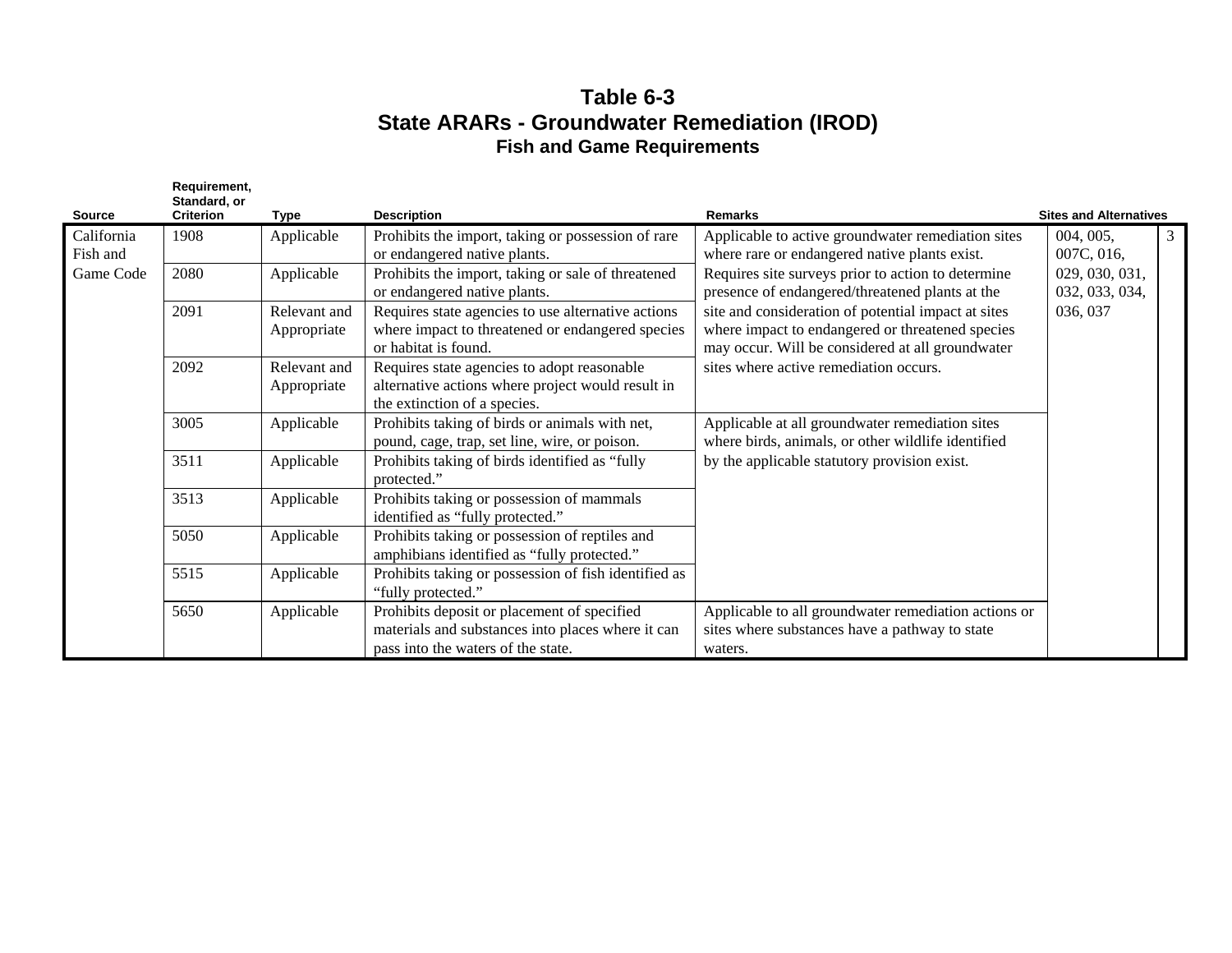## **Table 6-3 State ARARs - Groundwater Remediation (IROD) Fish and Game Requirements**

| <b>Source</b> | Requirement,<br>Standard, or<br><b>Criterion</b> | <b>Type</b>                 | <b>Description</b>                                                                                                                     | <b>Remarks</b>                                                                                                                                              | <b>Sites and Alternatives</b>    |              |
|---------------|--------------------------------------------------|-----------------------------|----------------------------------------------------------------------------------------------------------------------------------------|-------------------------------------------------------------------------------------------------------------------------------------------------------------|----------------------------------|--------------|
| California    | 1908                                             | Applicable                  | Prohibits the import, taking or possession of rare                                                                                     | Applicable to active groundwater remediation sites                                                                                                          | 004, 005,                        | $\mathbf{3}$ |
| Fish and      |                                                  |                             | or endangered native plants.                                                                                                           | where rare or endangered native plants exist.                                                                                                               | 007C, 016,                       |              |
| Game Code     | 2080                                             | Applicable                  | Prohibits the import, taking or sale of threatened<br>or endangered native plants.                                                     | Requires site surveys prior to action to determine<br>presence of endangered/threatened plants at the                                                       | 029, 030, 031,<br>032, 033, 034, |              |
|               | 2091                                             | Relevant and<br>Appropriate | Requires state agencies to use alternative actions<br>where impact to threatened or endangered species<br>or habitat is found.         | site and consideration of potential impact at sites<br>where impact to endangered or threatened species<br>may occur. Will be considered at all groundwater | 036, 037                         |              |
|               | 2092                                             | Relevant and<br>Appropriate | Requires state agencies to adopt reasonable<br>alternative actions where project would result in<br>the extinction of a species.       | sites where active remediation occurs.                                                                                                                      |                                  |              |
|               | 3005                                             | Applicable                  | Prohibits taking of birds or animals with net,<br>pound, cage, trap, set line, wire, or poison.                                        | Applicable at all groundwater remediation sites<br>where birds, animals, or other wildlife identified                                                       |                                  |              |
|               | 3511                                             | Applicable                  | Prohibits taking of birds identified as "fully<br>protected."                                                                          | by the applicable statutory provision exist.                                                                                                                |                                  |              |
|               | 3513                                             | Applicable                  | Prohibits taking or possession of mammals<br>identified as "fully protected."                                                          |                                                                                                                                                             |                                  |              |
|               | 5050                                             | Applicable                  | Prohibits taking or possession of reptiles and<br>amphibians identified as "fully protected."                                          |                                                                                                                                                             |                                  |              |
|               | 5515                                             | Applicable                  | Prohibits taking or possession of fish identified as<br>"fully protected."                                                             |                                                                                                                                                             |                                  |              |
|               | 5650                                             | Applicable                  | Prohibits deposit or placement of specified<br>materials and substances into places where it can<br>pass into the waters of the state. | Applicable to all groundwater remediation actions or<br>sites where substances have a pathway to state<br>waters.                                           |                                  |              |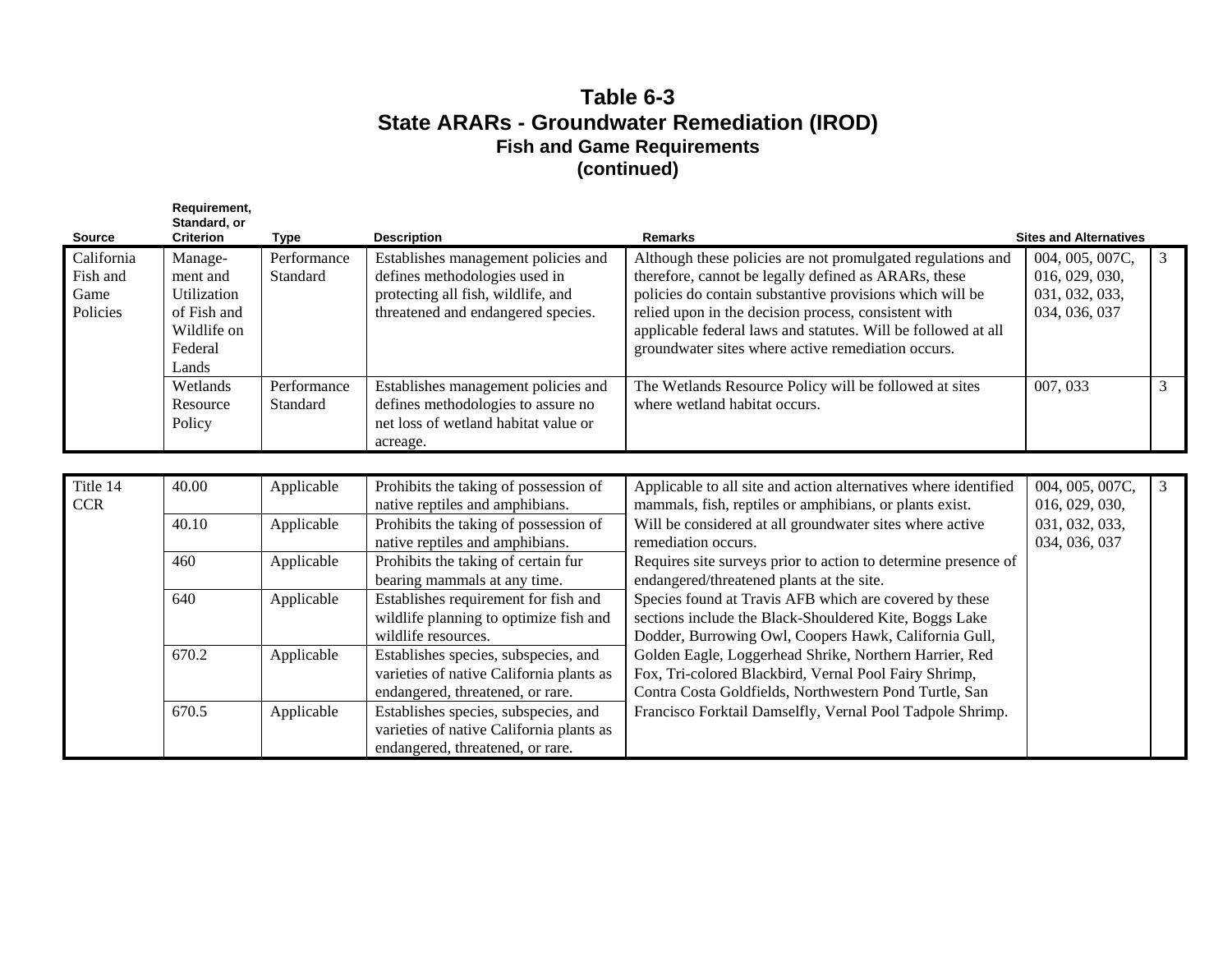### **Table 6-3 State ARARs - Groundwater Remediation (IROD) Fish and Game Requirements (continued)**

| <b>Source</b>                              | Requirement,<br>Standard, or<br><b>Criterion</b>                                     | <b>Type</b>             | <b>Description</b>                                                                                                                               | <b>Remarks</b>                                                                                                                                                                                                                                                                                                                                                 | <b>Sites and Alternatives</b>                                        |                |
|--------------------------------------------|--------------------------------------------------------------------------------------|-------------------------|--------------------------------------------------------------------------------------------------------------------------------------------------|----------------------------------------------------------------------------------------------------------------------------------------------------------------------------------------------------------------------------------------------------------------------------------------------------------------------------------------------------------------|----------------------------------------------------------------------|----------------|
| California<br>Fish and<br>Game<br>Policies | Manage-<br>ment and<br>Utilization<br>of Fish and<br>Wildlife on<br>Federal<br>Lands | Performance<br>Standard | Establishes management policies and<br>defines methodologies used in<br>protecting all fish, wildlife, and<br>threatened and endangered species. | Although these policies are not promulgated regulations and<br>therefore, cannot be legally defined as ARARs, these<br>policies do contain substantive provisions which will be<br>relied upon in the decision process, consistent with<br>applicable federal laws and statutes. Will be followed at all<br>groundwater sites where active remediation occurs. | 004, 005, 007C,<br>016, 029, 030,<br>031, 032, 033,<br>034, 036, 037 | 3              |
|                                            | Wetlands<br>Resource<br>Policy                                                       | Performance<br>Standard | Establishes management policies and<br>defines methodologies to assure no<br>net loss of wetland habitat value or<br>acreage.                    | The Wetlands Resource Policy will be followed at sites<br>where wetland habitat occurs.                                                                                                                                                                                                                                                                        | 007, 033                                                             | $\overline{3}$ |
|                                            |                                                                                      |                         |                                                                                                                                                  |                                                                                                                                                                                                                                                                                                                                                                |                                                                      |                |
| Title 14<br><b>CCR</b>                     | 40.00                                                                                | Applicable              | Prohibits the taking of possession of<br>native reptiles and amphibians.                                                                         | Applicable to all site and action alternatives where identified<br>mammals, fish, reptiles or amphibians, or plants exist.                                                                                                                                                                                                                                     | 004, 005, 007C,<br>016, 029, 030,                                    | $\mathfrak{Z}$ |
|                                            | 40.10                                                                                | Applicable              | Prohibits the taking of possession of<br>native reptiles and amphibians.                                                                         | Will be considered at all groundwater sites where active<br>remediation occurs.                                                                                                                                                                                                                                                                                | 031, 032, 033,<br>034, 036, 037                                      |                |
|                                            | 460                                                                                  | Applicable              | Prohibits the taking of certain fur<br>bearing mammals at any time.                                                                              | Requires site surveys prior to action to determine presence of<br>endangered/threatened plants at the site.                                                                                                                                                                                                                                                    |                                                                      |                |
|                                            | 640                                                                                  | Applicable              | Establishes requirement for fish and<br>wildlife planning to optimize fish and<br>wildlife resources.                                            | Species found at Travis AFB which are covered by these<br>sections include the Black-Shouldered Kite, Boggs Lake<br>Dodder, Burrowing Owl, Coopers Hawk, California Gull,                                                                                                                                                                                      |                                                                      |                |
|                                            | 670.2                                                                                | Applicable              | Establishes species, subspecies, and<br>varieties of native California plants as<br>endangered, threatened, or rare.                             | Golden Eagle, Loggerhead Shrike, Northern Harrier, Red<br>Fox, Tri-colored Blackbird, Vernal Pool Fairy Shrimp,<br>Contra Costa Goldfields, Northwestern Pond Turtle, San                                                                                                                                                                                      |                                                                      |                |
|                                            | 670.5                                                                                | Applicable              | Establishes species, subspecies, and<br>varieties of native California plants as<br>endangered, threatened, or rare.                             | Francisco Forktail Damselfly, Vernal Pool Tadpole Shrimp.                                                                                                                                                                                                                                                                                                      |                                                                      |                |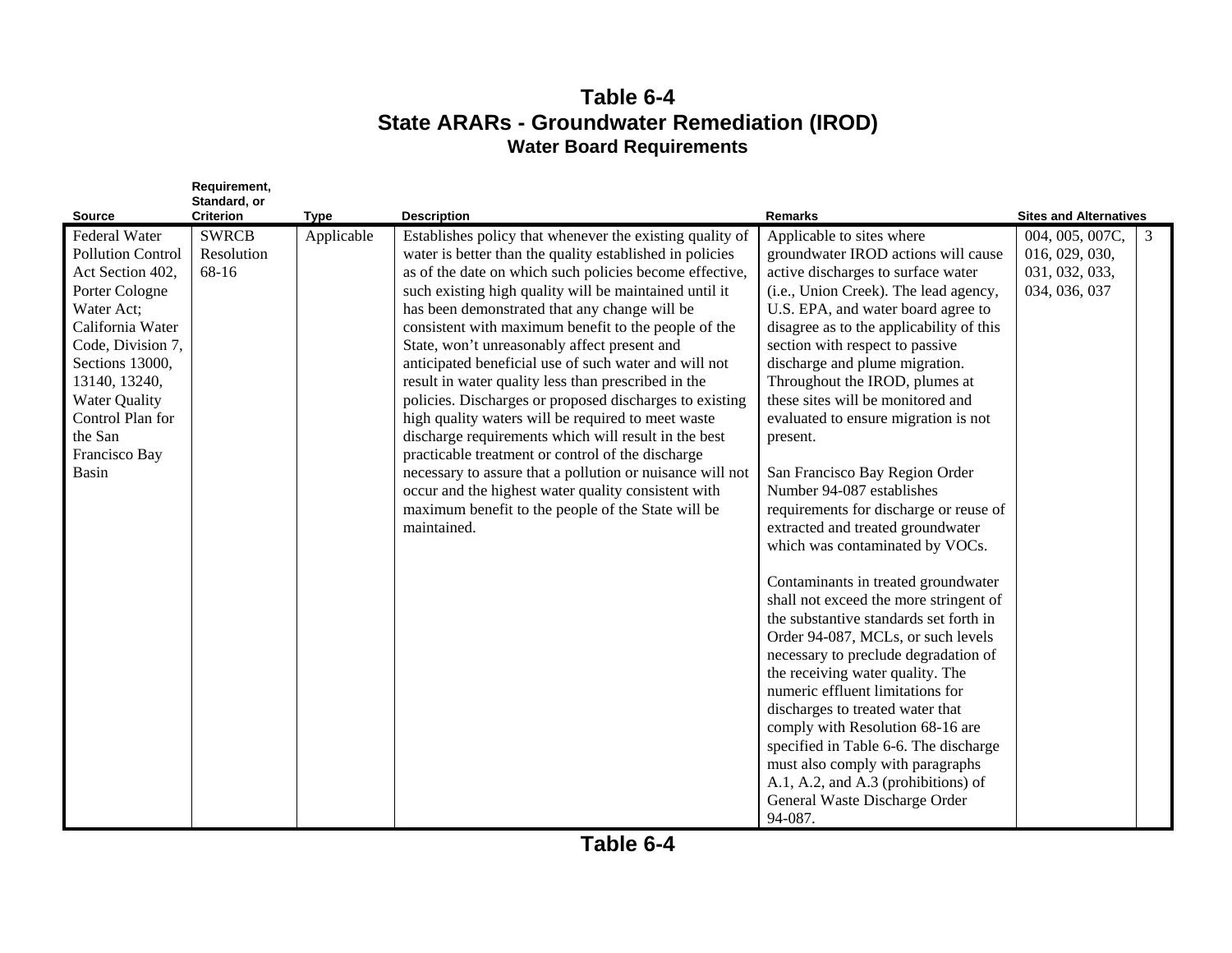# **Table 6-4 State ARARs - Groundwater Remediation (IROD) Water Board Requirements**

|                                                                                                                                                                                                                                                                    | Requirement,<br>Standard, or        |             |                                                                                                                                                                                                                                                                                                                                                                                                                                                                                                                                                                                                                                                                                                                                                                                                                                                                                                                                           |                                                                                                                                                                                                                                                                                                                                                                                                                                                                                                                                                                                                                                                                                                                                                                                                                                                                                                                                                                                                                                                                                                                                             |                                                                      |
|--------------------------------------------------------------------------------------------------------------------------------------------------------------------------------------------------------------------------------------------------------------------|-------------------------------------|-------------|-------------------------------------------------------------------------------------------------------------------------------------------------------------------------------------------------------------------------------------------------------------------------------------------------------------------------------------------------------------------------------------------------------------------------------------------------------------------------------------------------------------------------------------------------------------------------------------------------------------------------------------------------------------------------------------------------------------------------------------------------------------------------------------------------------------------------------------------------------------------------------------------------------------------------------------------|---------------------------------------------------------------------------------------------------------------------------------------------------------------------------------------------------------------------------------------------------------------------------------------------------------------------------------------------------------------------------------------------------------------------------------------------------------------------------------------------------------------------------------------------------------------------------------------------------------------------------------------------------------------------------------------------------------------------------------------------------------------------------------------------------------------------------------------------------------------------------------------------------------------------------------------------------------------------------------------------------------------------------------------------------------------------------------------------------------------------------------------------|----------------------------------------------------------------------|
| Source                                                                                                                                                                                                                                                             | <b>Criterion</b>                    | <b>Type</b> | <b>Description</b>                                                                                                                                                                                                                                                                                                                                                                                                                                                                                                                                                                                                                                                                                                                                                                                                                                                                                                                        | <b>Remarks</b>                                                                                                                                                                                                                                                                                                                                                                                                                                                                                                                                                                                                                                                                                                                                                                                                                                                                                                                                                                                                                                                                                                                              | <b>Sites and Alternatives</b>                                        |
| <b>Federal Water</b><br><b>Pollution Control</b><br>Act Section 402,<br>Porter Cologne<br>Water Act;<br>California Water<br>Code, Division 7,<br>Sections 13000,<br>13140, 13240,<br><b>Water Quality</b><br>Control Plan for<br>the San<br>Francisco Bay<br>Basin | <b>SWRCB</b><br>Resolution<br>68-16 | Applicable  | Establishes policy that whenever the existing quality of<br>water is better than the quality established in policies<br>as of the date on which such policies become effective,<br>such existing high quality will be maintained until it<br>has been demonstrated that any change will be<br>consistent with maximum benefit to the people of the<br>State, won't unreasonably affect present and<br>anticipated beneficial use of such water and will not<br>result in water quality less than prescribed in the<br>policies. Discharges or proposed discharges to existing<br>high quality waters will be required to meet waste<br>discharge requirements which will result in the best<br>practicable treatment or control of the discharge<br>necessary to assure that a pollution or nuisance will not<br>occur and the highest water quality consistent with<br>maximum benefit to the people of the State will be<br>maintained. | Applicable to sites where<br>groundwater IROD actions will cause<br>active discharges to surface water<br>(i.e., Union Creek). The lead agency,<br>U.S. EPA, and water board agree to<br>disagree as to the applicability of this<br>section with respect to passive<br>discharge and plume migration.<br>Throughout the IROD, plumes at<br>these sites will be monitored and<br>evaluated to ensure migration is not<br>present.<br>San Francisco Bay Region Order<br>Number 94-087 establishes<br>requirements for discharge or reuse of<br>extracted and treated groundwater<br>which was contaminated by VOCs.<br>Contaminants in treated groundwater<br>shall not exceed the more stringent of<br>the substantive standards set forth in<br>Order 94-087, MCLs, or such levels<br>necessary to preclude degradation of<br>the receiving water quality. The<br>numeric effluent limitations for<br>discharges to treated water that<br>comply with Resolution 68-16 are<br>specified in Table 6-6. The discharge<br>must also comply with paragraphs<br>A.1, A.2, and A.3 (prohibitions) of<br>General Waste Discharge Order<br>94-087. | 004, 005, 007C,<br>016, 029, 030,<br>031, 032, 033,<br>034, 036, 037 |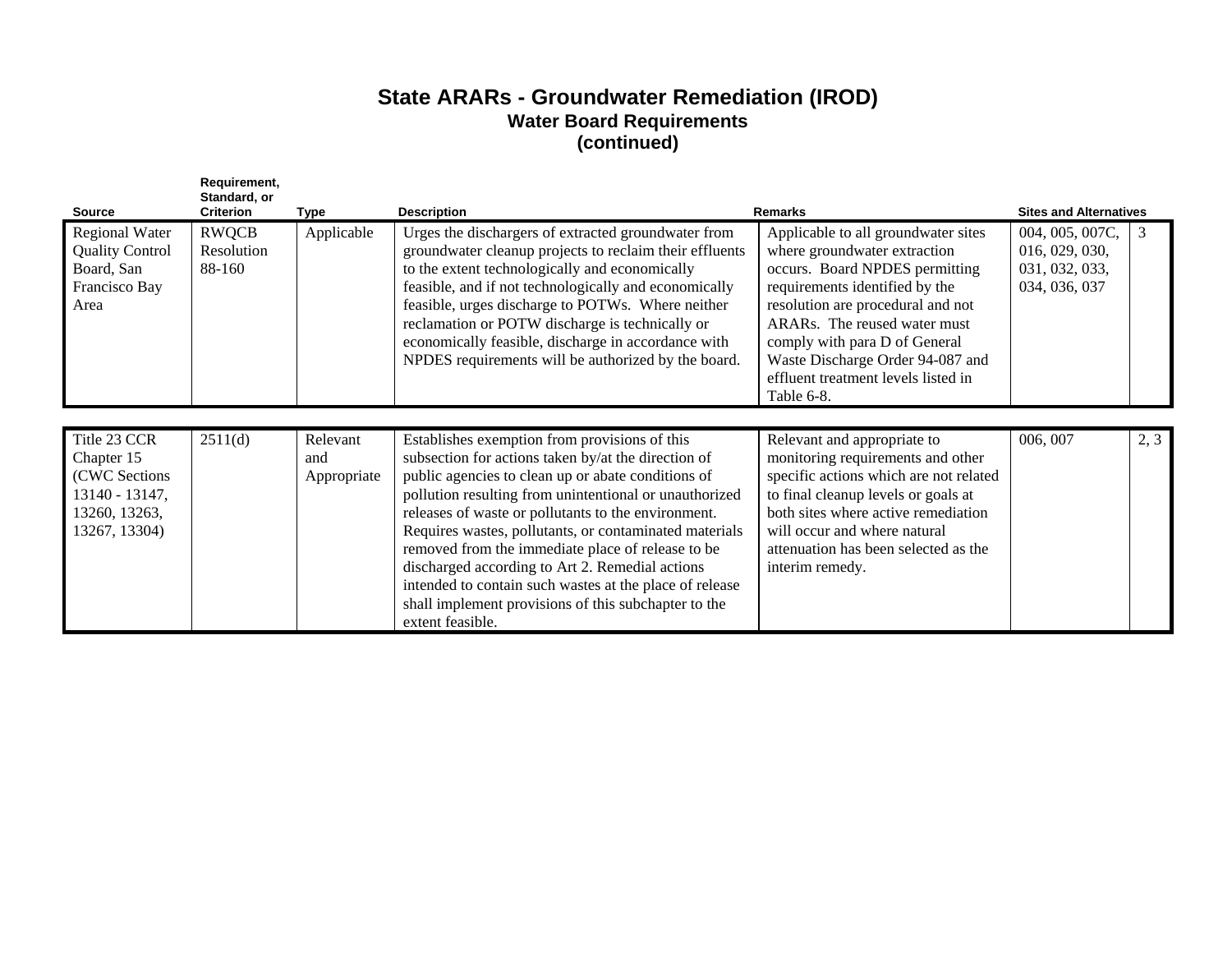#### **State ARARs - Groundwater Remediation (IROD) Water Board Requirements (continued)**

| <b>Source</b>                                                                                   | Requirement,<br>Standard, or<br><b>Criterion</b> | <b>Type</b>                    | <b>Description</b>                                                                                                                                                                                                                                                                                                                                                                                                                                                                                                                                                                   | <b>Remarks</b>                                                                                                                                                                                                                                                                                                                         | <b>Sites and Alternatives</b>                                        |      |
|-------------------------------------------------------------------------------------------------|--------------------------------------------------|--------------------------------|--------------------------------------------------------------------------------------------------------------------------------------------------------------------------------------------------------------------------------------------------------------------------------------------------------------------------------------------------------------------------------------------------------------------------------------------------------------------------------------------------------------------------------------------------------------------------------------|----------------------------------------------------------------------------------------------------------------------------------------------------------------------------------------------------------------------------------------------------------------------------------------------------------------------------------------|----------------------------------------------------------------------|------|
| <b>Regional Water</b><br><b>Quality Control</b><br>Board, San<br>Francisco Bay<br>Area          | <b>RWQCB</b><br>Resolution<br>88-160             | Applicable                     | Urges the dischargers of extracted groundwater from<br>groundwater cleanup projects to reclaim their effluents<br>to the extent technologically and economically<br>feasible, and if not technologically and economically<br>feasible, urges discharge to POTWs. Where neither<br>reclamation or POTW discharge is technically or<br>economically feasible, discharge in accordance with<br>NPDES requirements will be authorized by the board.                                                                                                                                      | Applicable to all groundwater sites<br>where groundwater extraction<br>occurs. Board NPDES permitting<br>requirements identified by the<br>resolution are procedural and not<br>ARARs. The reused water must<br>comply with para D of General<br>Waste Discharge Order 94-087 and<br>effluent treatment levels listed in<br>Table 6-8. | 004, 005, 007C,<br>016, 029, 030,<br>031, 032, 033,<br>034, 036, 037 | 3    |
| Title 23 CCR<br>Chapter 15<br>(CWC Sections<br>13140 - 13147,<br>13260, 13263,<br>13267, 13304) | 2511(d)                                          | Relevant<br>and<br>Appropriate | Establishes exemption from provisions of this<br>subsection for actions taken by/at the direction of<br>public agencies to clean up or abate conditions of<br>pollution resulting from unintentional or unauthorized<br>releases of waste or pollutants to the environment.<br>Requires wastes, pollutants, or contaminated materials<br>removed from the immediate place of release to be<br>discharged according to Art 2. Remedial actions<br>intended to contain such wastes at the place of release<br>shall implement provisions of this subchapter to the<br>extent feasible. | Relevant and appropriate to<br>monitoring requirements and other<br>specific actions which are not related<br>to final cleanup levels or goals at<br>both sites where active remediation<br>will occur and where natural<br>attenuation has been selected as the<br>interim remedy.                                                    | 006, 007                                                             | 2, 3 |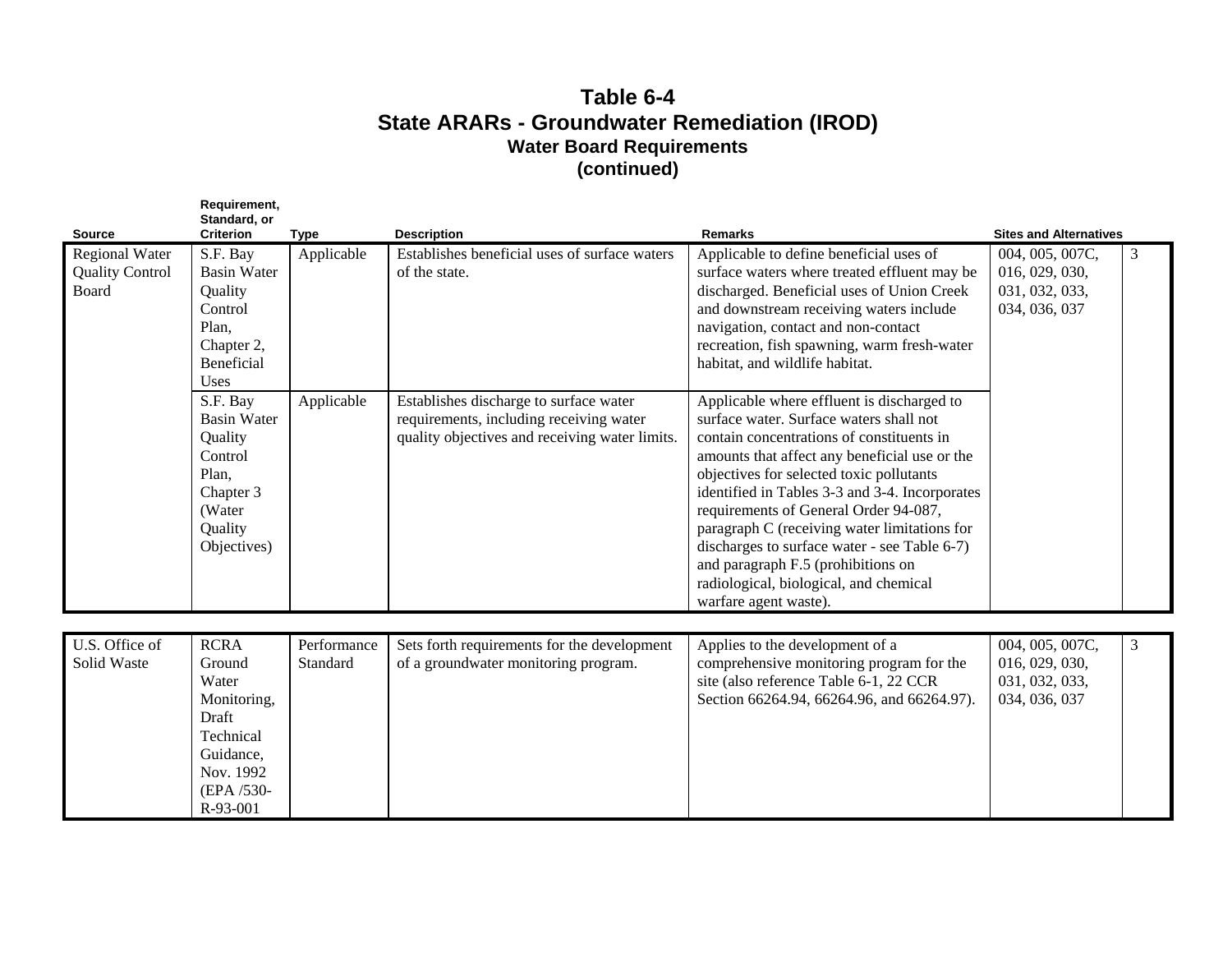## **Table 6-4 State ARARs - Groundwater Remediation (IROD) Water Board Requirements (continued)**

|                                                                 | Requirement,<br>Standard, or                                                                                            |                         |                                                                                                                                     |                                                                                                                                                                                                                                                                                                                                                                                                                                                                                                                                     |                                                                                        |  |
|-----------------------------------------------------------------|-------------------------------------------------------------------------------------------------------------------------|-------------------------|-------------------------------------------------------------------------------------------------------------------------------------|-------------------------------------------------------------------------------------------------------------------------------------------------------------------------------------------------------------------------------------------------------------------------------------------------------------------------------------------------------------------------------------------------------------------------------------------------------------------------------------------------------------------------------------|----------------------------------------------------------------------------------------|--|
| <b>Source</b>                                                   | <b>Criterion</b>                                                                                                        | <b>Type</b>             | <b>Description</b>                                                                                                                  | <b>Remarks</b>                                                                                                                                                                                                                                                                                                                                                                                                                                                                                                                      | <b>Sites and Alternatives</b>                                                          |  |
| <b>Regional Water</b><br><b>Quality Control</b><br><b>Board</b> | S.F. Bay<br><b>Basin Water</b><br>Quality<br>Control<br>Plan,<br>Chapter 2,<br>Beneficial<br>Uses                       | Applicable              | Establishes beneficial uses of surface waters<br>of the state.                                                                      | Applicable to define beneficial uses of<br>surface waters where treated effluent may be<br>discharged. Beneficial uses of Union Creek<br>and downstream receiving waters include<br>navigation, contact and non-contact<br>recreation, fish spawning, warm fresh-water<br>habitat, and wildlife habitat.                                                                                                                                                                                                                            | $\mathfrak{Z}$<br>004, 005, 007C,<br>016, 029, 030,<br>031, 032, 033,<br>034, 036, 037 |  |
|                                                                 | S.F. Bay<br><b>Basin Water</b><br>Quality<br>Control<br>Plan,<br>Chapter 3<br>(Water<br>Quality<br>Objectives)          | Applicable              | Establishes discharge to surface water<br>requirements, including receiving water<br>quality objectives and receiving water limits. | Applicable where effluent is discharged to<br>surface water. Surface waters shall not<br>contain concentrations of constituents in<br>amounts that affect any beneficial use or the<br>objectives for selected toxic pollutants<br>identified in Tables 3-3 and 3-4. Incorporates<br>requirements of General Order 94-087,<br>paragraph C (receiving water limitations for<br>discharges to surface water - see Table 6-7)<br>and paragraph F.5 (prohibitions on<br>radiological, biological, and chemical<br>warfare agent waste). |                                                                                        |  |
| U.S. Office of<br>Solid Waste                                   | <b>RCRA</b><br>Ground<br>Water<br>Monitoring,<br>Draft<br>Technical<br>Guidance,<br>Nov. 1992<br>(EPA /530-<br>R-93-001 | Performance<br>Standard | Sets forth requirements for the development<br>of a groundwater monitoring program.                                                 | Applies to the development of a<br>comprehensive monitoring program for the<br>site (also reference Table 6-1, 22 CCR<br>Section 66264.94, 66264.96, and 66264.97).                                                                                                                                                                                                                                                                                                                                                                 | 004, 005, 007C,<br>3<br>016, 029, 030,<br>031, 032, 033,<br>034, 036, 037              |  |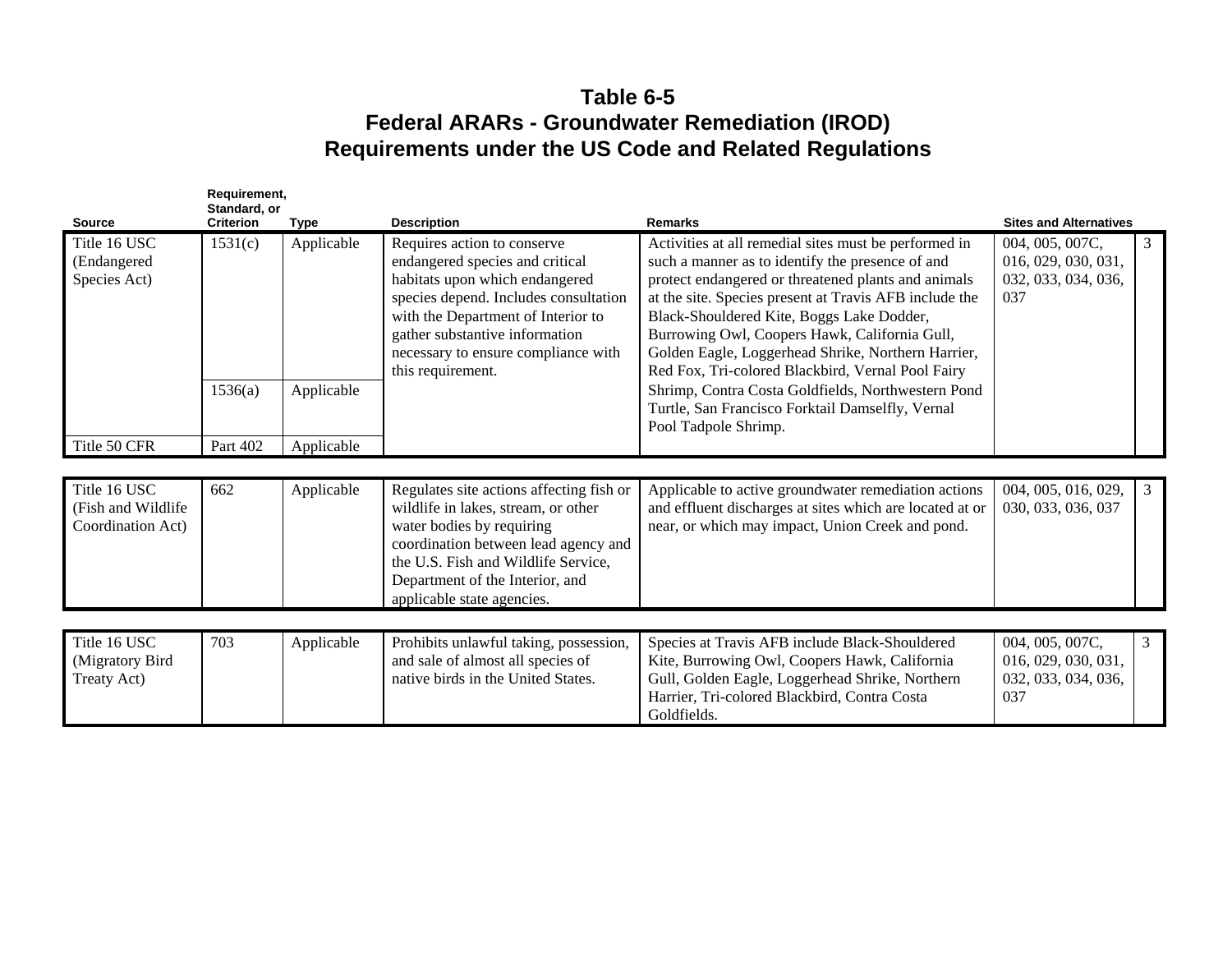|                                                          | Requirement,<br>Standard, or |             |                                                                                                                                                                                                                                                                               |                                                                                                                                                                                                                                                                                                                                                                                                                                     |                                                                      |   |
|----------------------------------------------------------|------------------------------|-------------|-------------------------------------------------------------------------------------------------------------------------------------------------------------------------------------------------------------------------------------------------------------------------------|-------------------------------------------------------------------------------------------------------------------------------------------------------------------------------------------------------------------------------------------------------------------------------------------------------------------------------------------------------------------------------------------------------------------------------------|----------------------------------------------------------------------|---|
| <b>Source</b>                                            | <b>Criterion</b>             | <b>Type</b> | <b>Description</b>                                                                                                                                                                                                                                                            | <b>Remarks</b>                                                                                                                                                                                                                                                                                                                                                                                                                      | <b>Sites and Alternatives</b>                                        |   |
| Title 16 USC<br>(Endangered<br>Species Act)              | 1531(c)                      | Applicable  | Requires action to conserve<br>endangered species and critical<br>habitats upon which endangered<br>species depend. Includes consultation<br>with the Department of Interior to<br>gather substantive information<br>necessary to ensure compliance with<br>this requirement. | Activities at all remedial sites must be performed in<br>such a manner as to identify the presence of and<br>protect endangered or threatened plants and animals<br>at the site. Species present at Travis AFB include the<br>Black-Shouldered Kite, Boggs Lake Dodder,<br>Burrowing Owl, Coopers Hawk, California Gull,<br>Golden Eagle, Loggerhead Shrike, Northern Harrier,<br>Red Fox, Tri-colored Blackbird, Vernal Pool Fairy | 004, 005, 007C,<br>016, 029, 030, 031,<br>032, 033, 034, 036,<br>037 | 3 |
|                                                          | 1536(a)                      | Applicable  |                                                                                                                                                                                                                                                                               | Shrimp, Contra Costa Goldfields, Northwestern Pond<br>Turtle, San Francisco Forktail Damselfly, Vernal<br>Pool Tadpole Shrimp.                                                                                                                                                                                                                                                                                                      |                                                                      |   |
| Title 50 CFR                                             | Part 402                     | Applicable  |                                                                                                                                                                                                                                                                               |                                                                                                                                                                                                                                                                                                                                                                                                                                     |                                                                      |   |
|                                                          |                              |             |                                                                                                                                                                                                                                                                               |                                                                                                                                                                                                                                                                                                                                                                                                                                     |                                                                      |   |
| Title 16 USC<br>(Fish and Wildlife)<br>Coordination Act) | 662                          | Applicable  | Regulates site actions affecting fish or<br>wildlife in lakes, stream, or other<br>water bodies by requiring<br>coordination between lead agency and<br>the U.S. Fish and Wildlife Service,<br>Department of the Interior, and<br>applicable state agencies.                  | Applicable to active groundwater remediation actions<br>and effluent discharges at sites which are located at or<br>near, or which may impact, Union Creek and pond.                                                                                                                                                                                                                                                                | 004, 005, 016, 029,<br>030, 033, 036, 037                            | 3 |
|                                                          |                              |             |                                                                                                                                                                                                                                                                               |                                                                                                                                                                                                                                                                                                                                                                                                                                     |                                                                      |   |
| Title 16 USC<br>(Migratory Bird<br>Treaty Act)           | 703                          | Applicable  | Prohibits unlawful taking, possession,<br>and sale of almost all species of<br>native birds in the United States.                                                                                                                                                             | Species at Travis AFB include Black-Shouldered<br>Kite, Burrowing Owl, Coopers Hawk, California<br>Gull, Golden Eagle, Loggerhead Shrike, Northern<br>Harrier, Tri-colored Blackbird, Contra Costa<br>Goldfields.                                                                                                                                                                                                                   | 004, 005, 007C,<br>016, 029, 030, 031,<br>032, 033, 034, 036,<br>037 | 3 |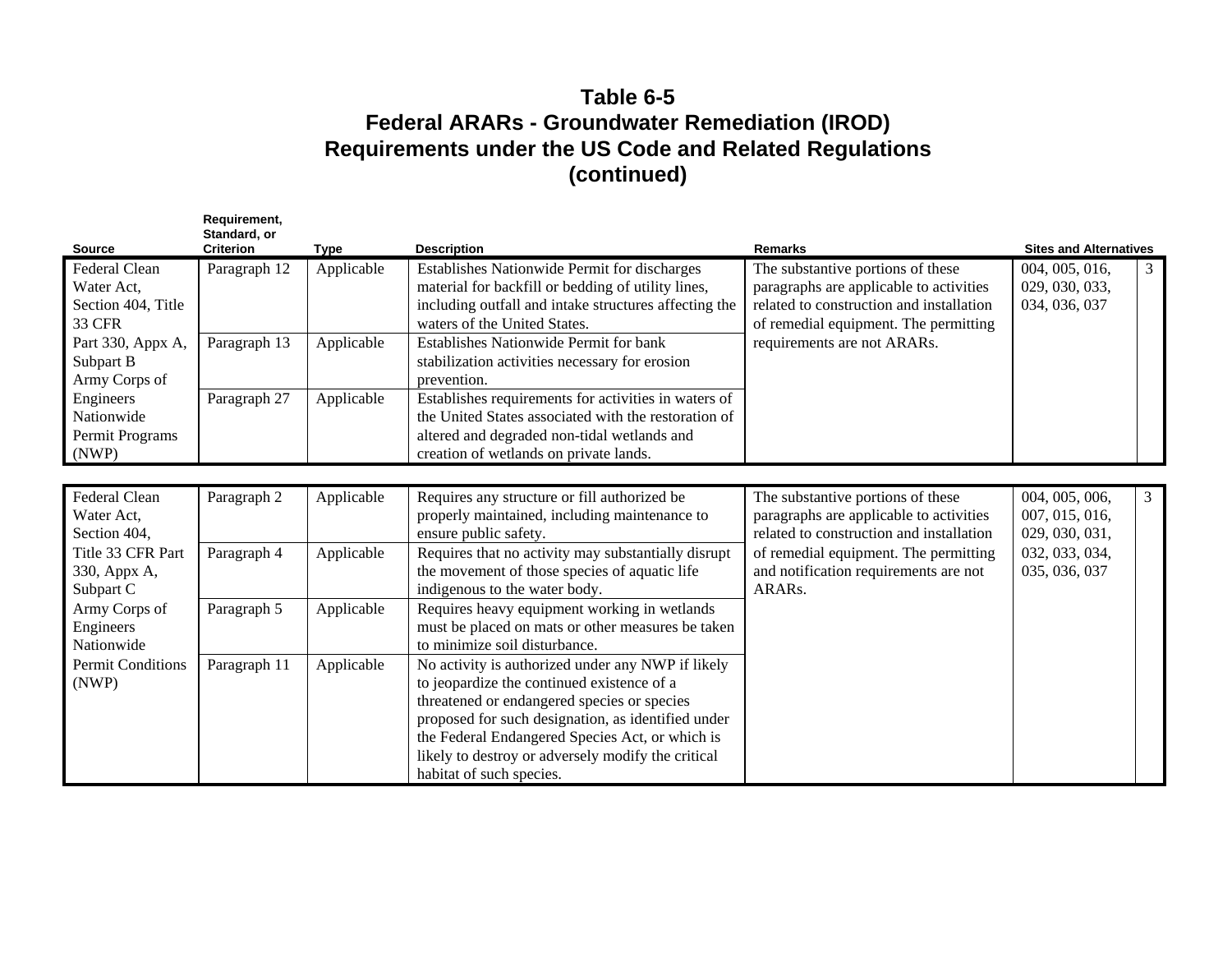| <b>Source</b>                                               | Requirement,<br>Standard, or<br><b>Criterion</b> | <b>Type</b> | <b>Description</b>                                                                                                                                                                                                                                                                                                                        | <b>Remarks</b>                                                                                                                                                    | <b>Sites and Alternatives</b>                      |   |
|-------------------------------------------------------------|--------------------------------------------------|-------------|-------------------------------------------------------------------------------------------------------------------------------------------------------------------------------------------------------------------------------------------------------------------------------------------------------------------------------------------|-------------------------------------------------------------------------------------------------------------------------------------------------------------------|----------------------------------------------------|---|
| Federal Clean<br>Water Act,<br>Section 404, Title<br>33 CFR | Paragraph 12                                     | Applicable  | Establishes Nationwide Permit for discharges<br>material for backfill or bedding of utility lines,<br>including outfall and intake structures affecting the<br>waters of the United States.                                                                                                                                               | The substantive portions of these<br>paragraphs are applicable to activities<br>related to construction and installation<br>of remedial equipment. The permitting | 004, 005, 016,<br>029, 030, 033,<br>034, 036, 037  | 3 |
| Part 330, Appx A,<br>Subpart B<br>Army Corps of             | Paragraph 13                                     | Applicable  | Establishes Nationwide Permit for bank<br>stabilization activities necessary for erosion<br>prevention.                                                                                                                                                                                                                                   | requirements are not ARARs.                                                                                                                                       |                                                    |   |
| Engineers<br>Nationwide<br>Permit Programs<br>(NWP)         | Paragraph 27                                     | Applicable  | Establishes requirements for activities in waters of<br>the United States associated with the restoration of<br>altered and degraded non-tidal wetlands and<br>creation of wetlands on private lands.                                                                                                                                     |                                                                                                                                                                   |                                                    |   |
|                                                             |                                                  |             |                                                                                                                                                                                                                                                                                                                                           |                                                                                                                                                                   |                                                    |   |
| Federal Clean<br>Water Act,<br>Section 404,                 | Paragraph 2                                      | Applicable  | Requires any structure or fill authorized be<br>properly maintained, including maintenance to<br>ensure public safety.                                                                                                                                                                                                                    | The substantive portions of these<br>paragraphs are applicable to activities<br>related to construction and installation                                          | 004, 005, 006,<br>007, 015, 016,<br>029, 030, 031, | 3 |
| Title 33 CFR Part<br>330, Аррх А,<br>Subpart C              | Paragraph 4                                      | Applicable  | Requires that no activity may substantially disrupt<br>the movement of those species of aquatic life<br>indigenous to the water body.                                                                                                                                                                                                     | of remedial equipment. The permitting<br>and notification requirements are not<br>ARARs.                                                                          | 032, 033, 034,<br>035, 036, 037                    |   |
| Army Corps of<br>Engineers<br>Nationwide                    | Paragraph 5                                      | Applicable  | Requires heavy equipment working in wetlands<br>must be placed on mats or other measures be taken<br>to minimize soil disturbance.                                                                                                                                                                                                        |                                                                                                                                                                   |                                                    |   |
| <b>Permit Conditions</b><br>(NWP)                           | Paragraph 11                                     | Applicable  | No activity is authorized under any NWP if likely<br>to jeopardize the continued existence of a<br>threatened or endangered species or species<br>proposed for such designation, as identified under<br>the Federal Endangered Species Act, or which is<br>likely to destroy or adversely modify the critical<br>habitat of such species. |                                                                                                                                                                   |                                                    |   |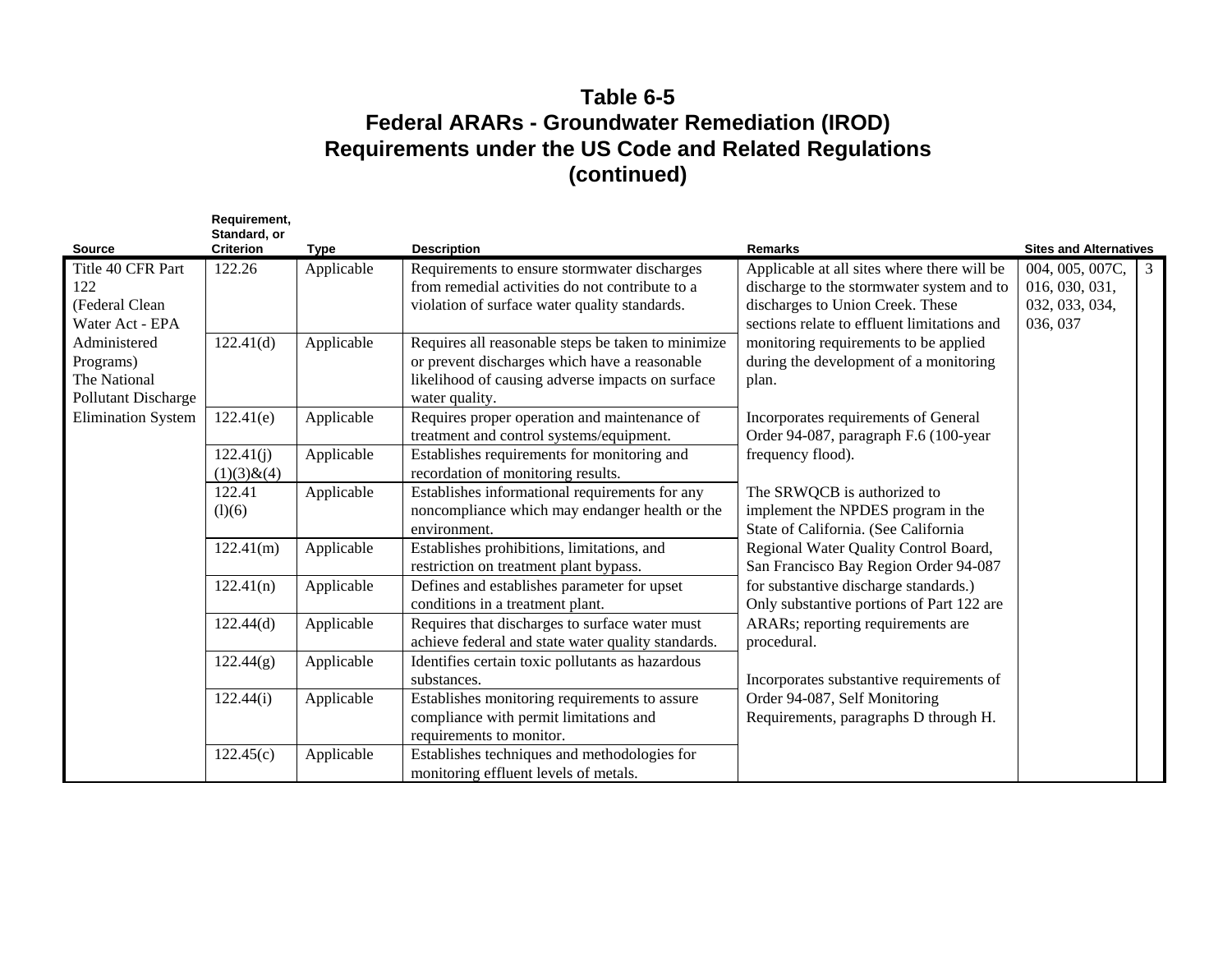| <b>Source</b>                                                    | Requirement,<br>Standard, or<br><b>Criterion</b> | <b>Type</b> | <b>Description</b>                                                                                                                                                        | <b>Remarks</b>                                                                                                                                                              | <b>Sites and Alternatives</b>                                                   |
|------------------------------------------------------------------|--------------------------------------------------|-------------|---------------------------------------------------------------------------------------------------------------------------------------------------------------------------|-----------------------------------------------------------------------------------------------------------------------------------------------------------------------------|---------------------------------------------------------------------------------|
| Title 40 CFR Part<br>122<br>(Federal Clean<br>Water Act - EPA    | 122.26                                           | Applicable  | Requirements to ensure stormwater discharges<br>from remedial activities do not contribute to a<br>violation of surface water quality standards.                          | Applicable at all sites where there will be<br>discharge to the stormwater system and to<br>discharges to Union Creek. These<br>sections relate to effluent limitations and | 004, 005, 007C,<br>$\mathbf{3}$<br>016, 030, 031,<br>032, 033, 034,<br>036, 037 |
| Administered<br>Programs)<br>The National<br>Pollutant Discharge | 122.41(d)                                        | Applicable  | Requires all reasonable steps be taken to minimize<br>or prevent discharges which have a reasonable<br>likelihood of causing adverse impacts on surface<br>water quality. | monitoring requirements to be applied<br>during the development of a monitoring<br>plan.                                                                                    |                                                                                 |
| <b>Elimination System</b>                                        | 122.41(e)                                        | Applicable  | Requires proper operation and maintenance of<br>treatment and control systems/equipment.                                                                                  | Incorporates requirements of General<br>Order 94-087, paragraph F.6 (100-year                                                                                               |                                                                                 |
|                                                                  | 122.41(i)<br>$(1)(3)$ & $(4)$                    | Applicable  | Establishes requirements for monitoring and<br>recordation of monitoring results.                                                                                         | frequency flood).                                                                                                                                                           |                                                                                 |
|                                                                  | 122.41<br>(l)(6)                                 | Applicable  | Establishes informational requirements for any<br>noncompliance which may endanger health or the<br>environment.                                                          | The SRWQCB is authorized to<br>implement the NPDES program in the<br>State of California. (See California                                                                   |                                                                                 |
|                                                                  | 122.41(m)                                        | Applicable  | Establishes prohibitions, limitations, and<br>restriction on treatment plant bypass.                                                                                      | Regional Water Quality Control Board,<br>San Francisco Bay Region Order 94-087                                                                                              |                                                                                 |
|                                                                  | 122.41(n)                                        | Applicable  | Defines and establishes parameter for upset<br>conditions in a treatment plant.                                                                                           | for substantive discharge standards.)<br>Only substantive portions of Part 122 are                                                                                          |                                                                                 |
|                                                                  | 122.44(d)                                        | Applicable  | Requires that discharges to surface water must<br>achieve federal and state water quality standards.                                                                      | ARARs; reporting requirements are<br>procedural.                                                                                                                            |                                                                                 |
|                                                                  | 122.44(g)                                        | Applicable  | Identifies certain toxic pollutants as hazardous<br>substances.                                                                                                           | Incorporates substantive requirements of                                                                                                                                    |                                                                                 |
|                                                                  | 122.44(i)                                        | Applicable  | Establishes monitoring requirements to assure<br>compliance with permit limitations and<br>requirements to monitor.                                                       | Order 94-087, Self Monitoring<br>Requirements, paragraphs D through H.                                                                                                      |                                                                                 |
|                                                                  | 122.45(c)                                        | Applicable  | Establishes techniques and methodologies for<br>monitoring effluent levels of metals.                                                                                     |                                                                                                                                                                             |                                                                                 |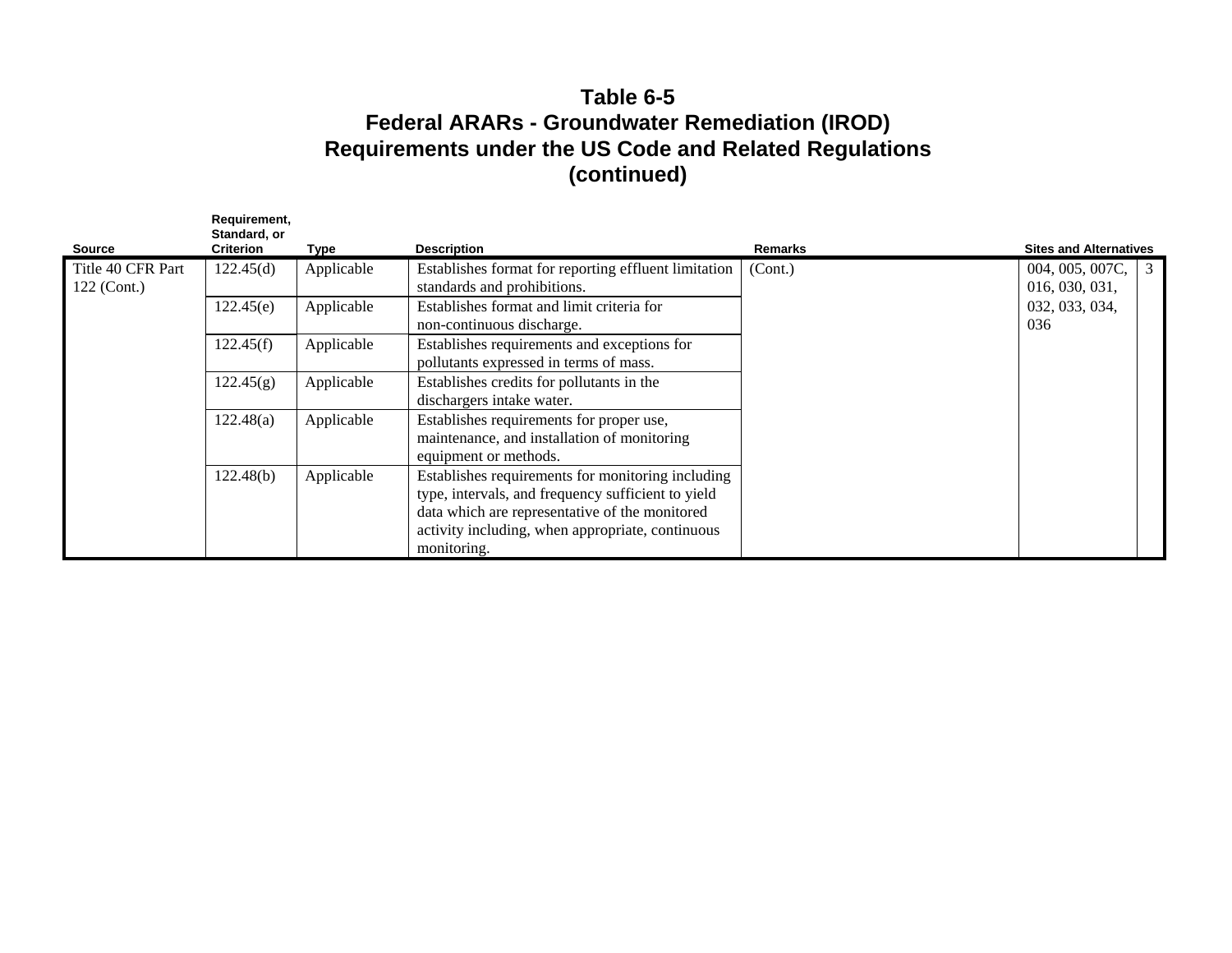|                   | Requirement,<br>Standard, or |            |                                                      |                |                               |
|-------------------|------------------------------|------------|------------------------------------------------------|----------------|-------------------------------|
| Source            | <b>Criterion</b>             | Type       | <b>Description</b>                                   | <b>Remarks</b> | <b>Sites and Alternatives</b> |
| Title 40 CFR Part | 122.45(d)                    | Applicable | Establishes format for reporting effluent limitation | (Cont.)        | 004, 005, 007C,<br>3          |
| 122 (Cont.)       |                              |            | standards and prohibitions.                          |                | 016, 030, 031,                |
|                   | 122.45(e)                    | Applicable | Establishes format and limit criteria for            |                | 032, 033, 034,                |
|                   |                              |            | non-continuous discharge.                            |                | 036                           |
|                   | 122.45(f)                    | Applicable | Establishes requirements and exceptions for          |                |                               |
|                   |                              |            | pollutants expressed in terms of mass.               |                |                               |
|                   | 122.45(g)                    | Applicable | Establishes credits for pollutants in the            |                |                               |
|                   |                              |            | dischargers intake water.                            |                |                               |
|                   | 122.48(a)                    | Applicable | Establishes requirements for proper use,             |                |                               |
|                   |                              |            | maintenance, and installation of monitoring          |                |                               |
|                   |                              |            | equipment or methods.                                |                |                               |
|                   | 122.48(b)                    | Applicable | Establishes requirements for monitoring including    |                |                               |
|                   |                              |            | type, intervals, and frequency sufficient to yield   |                |                               |
|                   |                              |            | data which are representative of the monitored       |                |                               |
|                   |                              |            | activity including, when appropriate, continuous     |                |                               |
|                   |                              |            | monitoring.                                          |                |                               |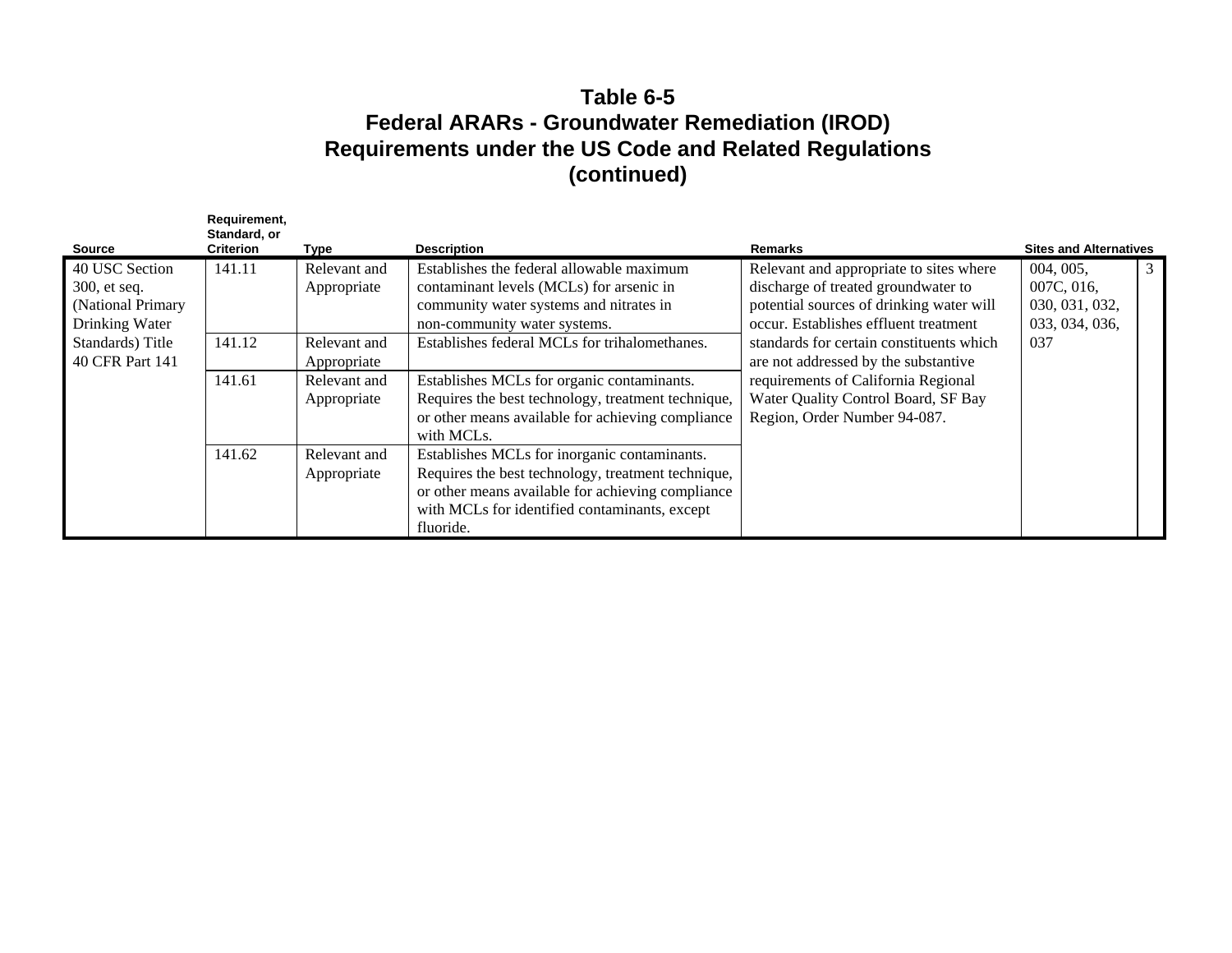| <b>Source</b>                                                         | Requirement,<br>Standard, or<br><b>Criterion</b> | Type                        | <b>Description</b>                                                                                                                                                                                                    | <b>Remarks</b>                                                                                                                                                      | <b>Sites and Alternatives</b>                               |  |
|-----------------------------------------------------------------------|--------------------------------------------------|-----------------------------|-----------------------------------------------------------------------------------------------------------------------------------------------------------------------------------------------------------------------|---------------------------------------------------------------------------------------------------------------------------------------------------------------------|-------------------------------------------------------------|--|
| 40 USC Section<br>300, et seq.<br>(National Primary<br>Drinking Water | 141.11                                           | Relevant and<br>Appropriate | Establishes the federal allowable maximum<br>contaminant levels (MCLs) for arsenic in<br>community water systems and nitrates in<br>non-community water systems.                                                      | Relevant and appropriate to sites where<br>discharge of treated groundwater to<br>potential sources of drinking water will<br>occur. Establishes effluent treatment | 004, 005,<br>007C, 016,<br>030, 031, 032,<br>033, 034, 036, |  |
| Standards) Title<br>40 CFR Part 141                                   | 141.12                                           | Relevant and<br>Appropriate | Establishes federal MCLs for trihalomethanes.                                                                                                                                                                         | standards for certain constituents which<br>are not addressed by the substantive                                                                                    | 037                                                         |  |
|                                                                       | 141.61                                           | Relevant and<br>Appropriate | Establishes MCLs for organic contaminants.<br>Requires the best technology, treatment technique,<br>or other means available for achieving compliance<br>with MCLs.                                                   | requirements of California Regional<br>Water Quality Control Board, SF Bay<br>Region, Order Number 94-087.                                                          |                                                             |  |
|                                                                       | 141.62                                           | Relevant and<br>Appropriate | Establishes MCLs for inorganic contaminants.<br>Requires the best technology, treatment technique,<br>or other means available for achieving compliance<br>with MCLs for identified contaminants, except<br>fluoride. |                                                                                                                                                                     |                                                             |  |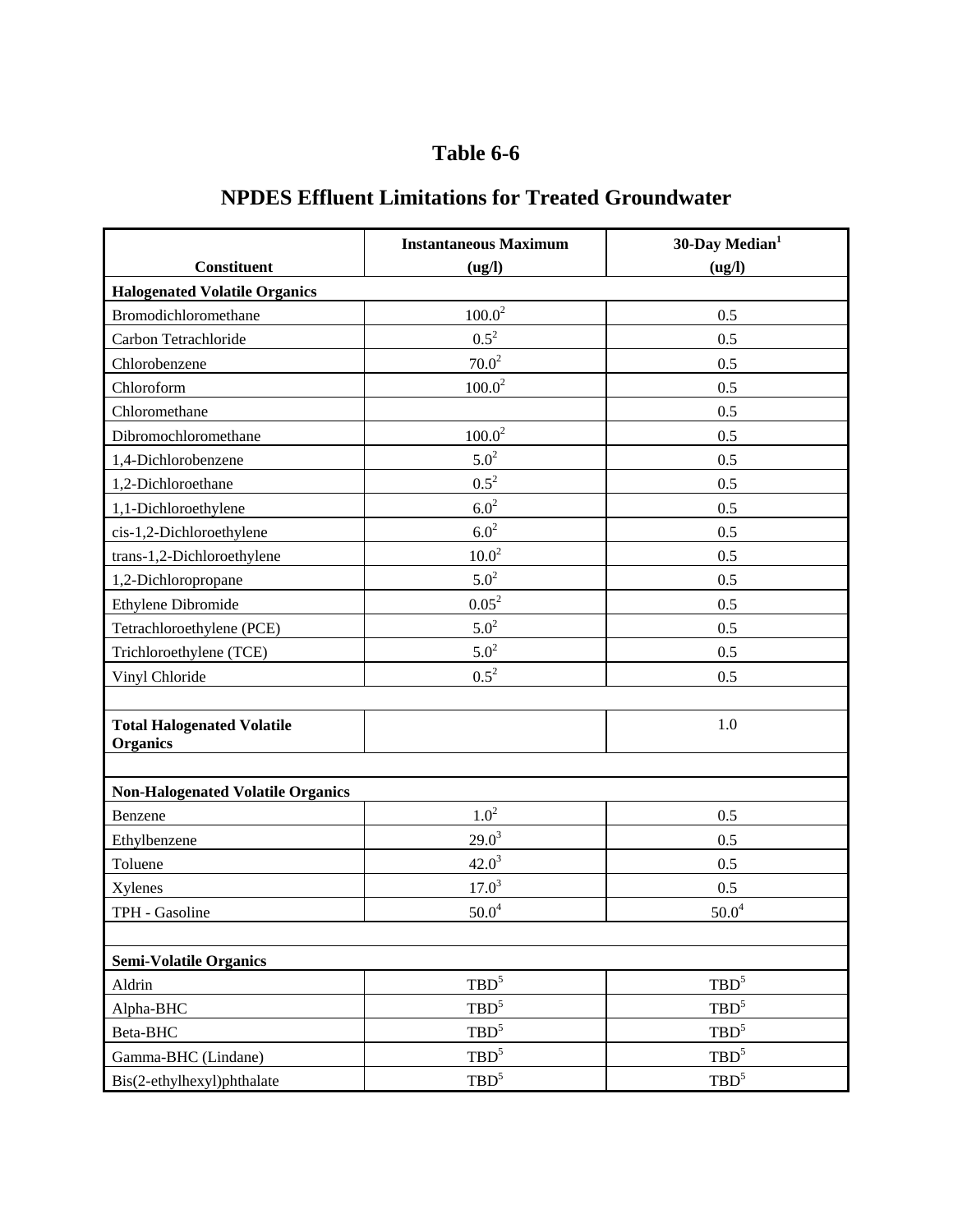# **NPDES Effluent Limitations for Treated Groundwater**

|                                          | <b>Instantaneous Maximum</b> | 30-Day Median <sup>1</sup> |
|------------------------------------------|------------------------------|----------------------------|
| <b>Constituent</b>                       | (ug/l)                       | (ug/l)                     |
| <b>Halogenated Volatile Organics</b>     |                              |                            |
| Bromodichloromethane                     | $100.0^2$                    | 0.5                        |
| Carbon Tetrachloride                     | $0.5^{2}$                    | 0.5                        |
| Chlorobenzene                            | 70.0 <sup>2</sup>            | 0.5                        |
| Chloroform                               | $100.0^{2}$                  | 0.5                        |
| Chloromethane                            |                              | 0.5                        |
| Dibromochloromethane                     | $100.0^2$                    | 0.5                        |
| 1,4-Dichlorobenzene                      | $5.0^{2}$                    | 0.5                        |
| 1,2-Dichloroethane                       | $0.5^{2}$                    | 0.5                        |
| 1,1-Dichloroethylene                     | $6.0^{2}$                    | 0.5                        |
| cis-1,2-Dichloroethylene                 | $6.0^{2}$                    | 0.5                        |
| trans-1,2-Dichloroethylene               | $10.0^{2}$                   | 0.5                        |
| 1,2-Dichloropropane                      | $5.0^{2}$                    | 0.5                        |
| <b>Ethylene Dibromide</b>                | $0.05^2$                     | 0.5                        |
| Tetrachloroethylene (PCE)                | $5.0^{2}$                    | 0.5                        |
| Trichloroethylene (TCE)                  | $5.0^{2}$                    | 0.5                        |
| Vinyl Chloride                           | $0.5^2$                      | 0.5                        |
|                                          |                              |                            |
| <b>Total Halogenated Volatile</b>        |                              | 1.0                        |
| <b>Organics</b>                          |                              |                            |
|                                          |                              |                            |
| <b>Non-Halogenated Volatile Organics</b> |                              |                            |
| Benzene                                  | $1.0^{2}$                    | 0.5                        |
| Ethylbenzene                             | $29.0^3$                     | 0.5                        |
| Toluene                                  | $42.0^3$                     | 0.5                        |
| Xylenes                                  | $17.0^3$                     | 0.5                        |
| TPH - Gasoline                           | $50.0^{4}$                   | $50.0^{4}$                 |
|                                          |                              |                            |
| <b>Semi-Volatile Organics</b>            |                              |                            |
| Aldrin                                   | $\mbox{TBD}^5$               | $TBD^5$                    |
| Alpha-BHC                                | $TBD^5$                      | $TBD^5$                    |
| Beta-BHC                                 | $TBD^5$                      | $TBD^5$                    |
| Gamma-BHC (Lindane)                      | $TBD^5$                      | $TBD^5$                    |
| Bis(2-ethylhexyl)phthalate               | $TBD^5$                      | $TBD^5$                    |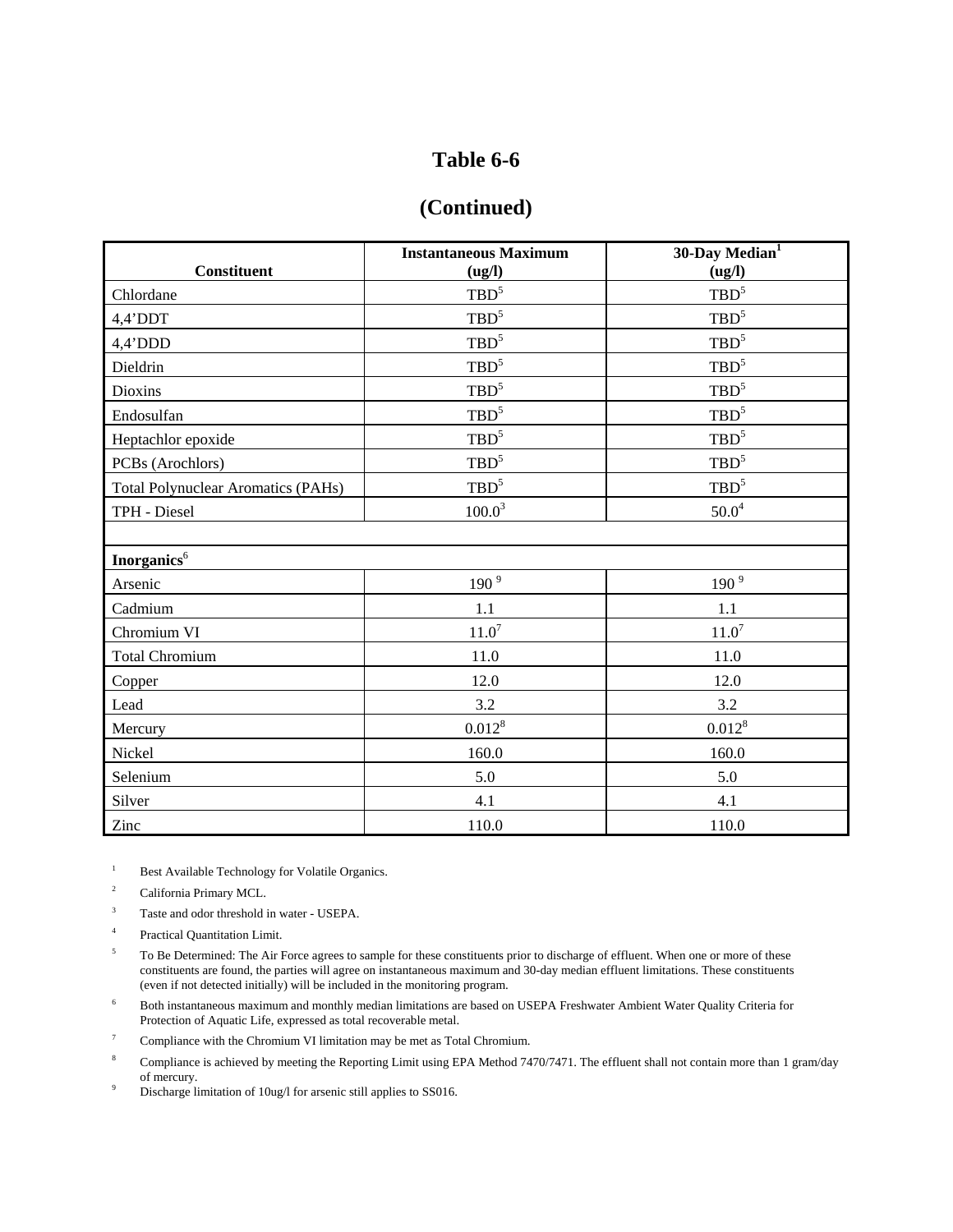#### **(Continued)**

|                                           | <b>Instantaneous Maximum</b> | 30-Day Median <sup>1</sup> |
|-------------------------------------------|------------------------------|----------------------------|
| <b>Constituent</b>                        | (ug/l)                       | (ug/l)                     |
| Chlordane                                 | $TBD^5$                      | $TBD^5$                    |
| 4,4'DDT                                   | $TBD^5$                      | $TBD^5$                    |
| $4,4'$ DDD                                | $TBD^5$                      | $TBD^5$                    |
| Dieldrin                                  | $TBD^5$                      | $TBD^5$                    |
| Dioxins                                   | $TBD^5$                      | $TBD^5$                    |
| Endosulfan                                | $TBD^5$                      | $TBD^5$                    |
| Heptachlor epoxide                        | $TBD^5$                      | $TBD^5$                    |
| PCBs (Arochlors)                          | $TBD^5$                      | $TBD^5$                    |
| <b>Total Polynuclear Aromatics (PAHs)</b> | $TBD^5$                      | $TBD^5$                    |
| TPH - Diesel                              | $100.0^3$                    | $50.0^4$                   |
|                                           |                              |                            |
| Inorganics <sup>6</sup>                   |                              |                            |
| Arsenic                                   | 190 $9$                      | 190 $9$                    |
| Cadmium                                   | 1.1                          | 1.1                        |
| Chromium VI                               | $11.0^7$                     | $11.0^7$                   |
| <b>Total Chromium</b>                     | 11.0                         | 11.0                       |
| Copper                                    | 12.0                         | 12.0                       |
| Lead                                      | 3.2                          | 3.2                        |
| Mercury                                   | $0.012^{8}$                  | $0.012^{8}$                |
| Nickel                                    | 160.0                        | 160.0                      |
| Selenium                                  | 5.0                          | 5.0                        |
| Silver                                    | 4.1                          | 4.1                        |
| Zinc                                      | 110.0                        | 110.0                      |

1 Best Available Technology for Volatile Organics.

- 2 California Primary MCL.
- 3 Taste and odor threshold in water - USEPA.
- 4 Practical Quantitation Limit.
- 5 To Be Determined: The Air Force agrees to sample for these constituents prior to discharge of effluent. When one or more of these constituents are found, the parties will agree on instantaneous maximum and 30-day median effluent limitations. These constituents (even if not detected initially) will be included in the monitoring program.
- 6 Both instantaneous maximum and monthly median limitations are based on USEPA Freshwater Ambient Water Quality Criteria for Protection of Aquatic Life, expressed as total recoverable metal.
- 7 Compliance with the Chromium VI limitation may be met as Total Chromium.
- 8 Compliance is achieved by meeting the Reporting Limit using EPA Method 7470/7471. The effluent shall not contain more than 1 gram/day of mercury.
- Discharge limitation of 10ug/l for arsenic still applies to SS016.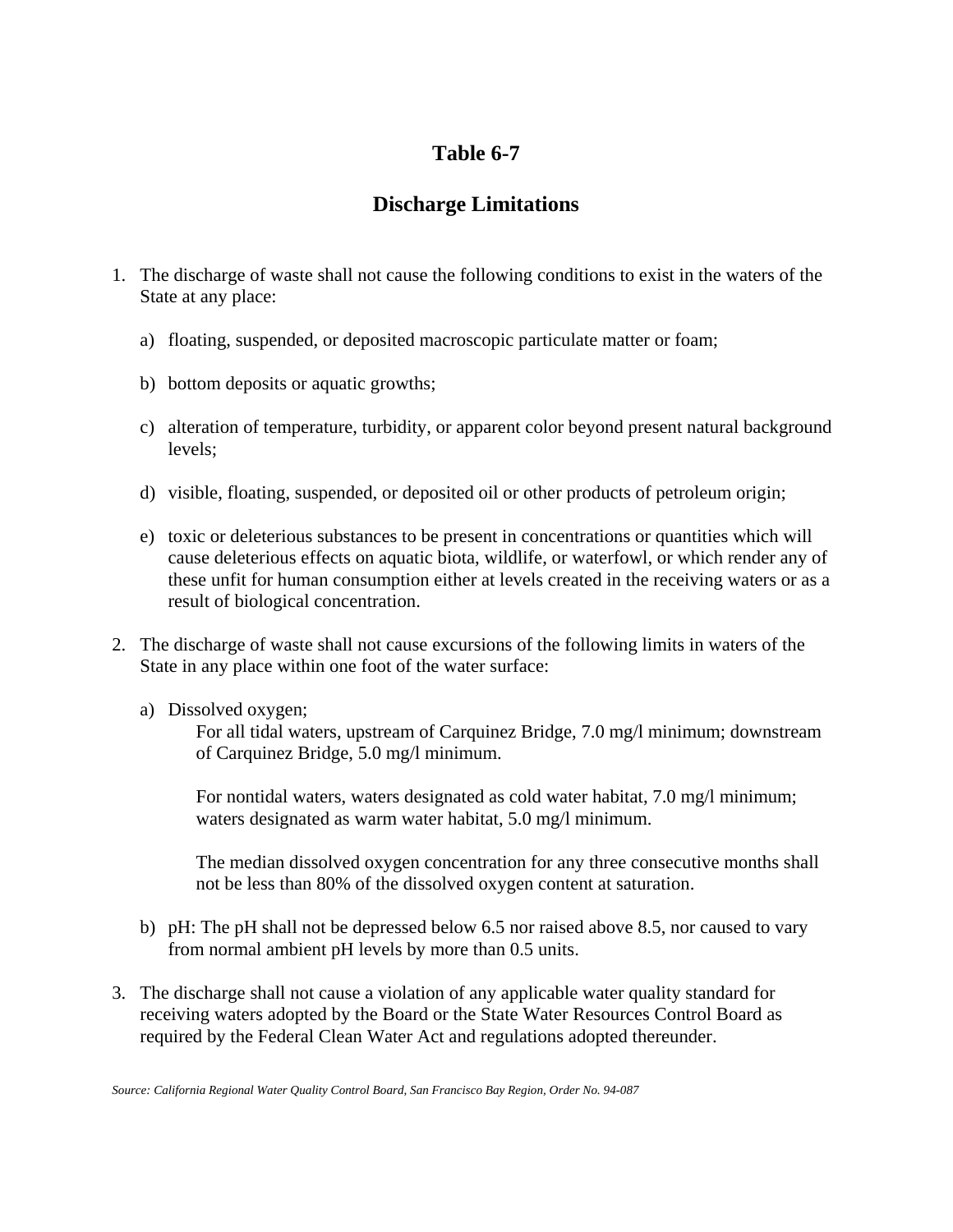## **Discharge Limitations**

- 1. The discharge of waste shall not cause the following conditions to exist in the waters of the State at any place:
	- a) floating, suspended, or deposited macroscopic particulate matter or foam;
	- b) bottom deposits or aquatic growths;
	- c) alteration of temperature, turbidity, or apparent color beyond present natural background levels;
	- d) visible, floating, suspended, or deposited oil or other products of petroleum origin;
	- e) toxic or deleterious substances to be present in concentrations or quantities which will cause deleterious effects on aquatic biota, wildlife, or waterfowl, or which render any of these unfit for human consumption either at levels created in the receiving waters or as a result of biological concentration.
- 2. The discharge of waste shall not cause excursions of the following limits in waters of the State in any place within one foot of the water surface:
	- a) Dissolved oxygen;

For all tidal waters, upstream of Carquinez Bridge, 7.0 mg/l minimum; downstream of Carquinez Bridge, 5.0 mg/l minimum.

For nontidal waters, waters designated as cold water habitat, 7.0 mg/l minimum; waters designated as warm water habitat, 5.0 mg/l minimum.

The median dissolved oxygen concentration for any three consecutive months shall not be less than 80% of the dissolved oxygen content at saturation.

- b) pH: The pH shall not be depressed below 6.5 nor raised above 8.5, nor caused to vary from normal ambient pH levels by more than 0.5 units.
- 3. The discharge shall not cause a violation of any applicable water quality standard for receiving waters adopted by the Board or the State Water Resources Control Board as required by the Federal Clean Water Act and regulations adopted thereunder.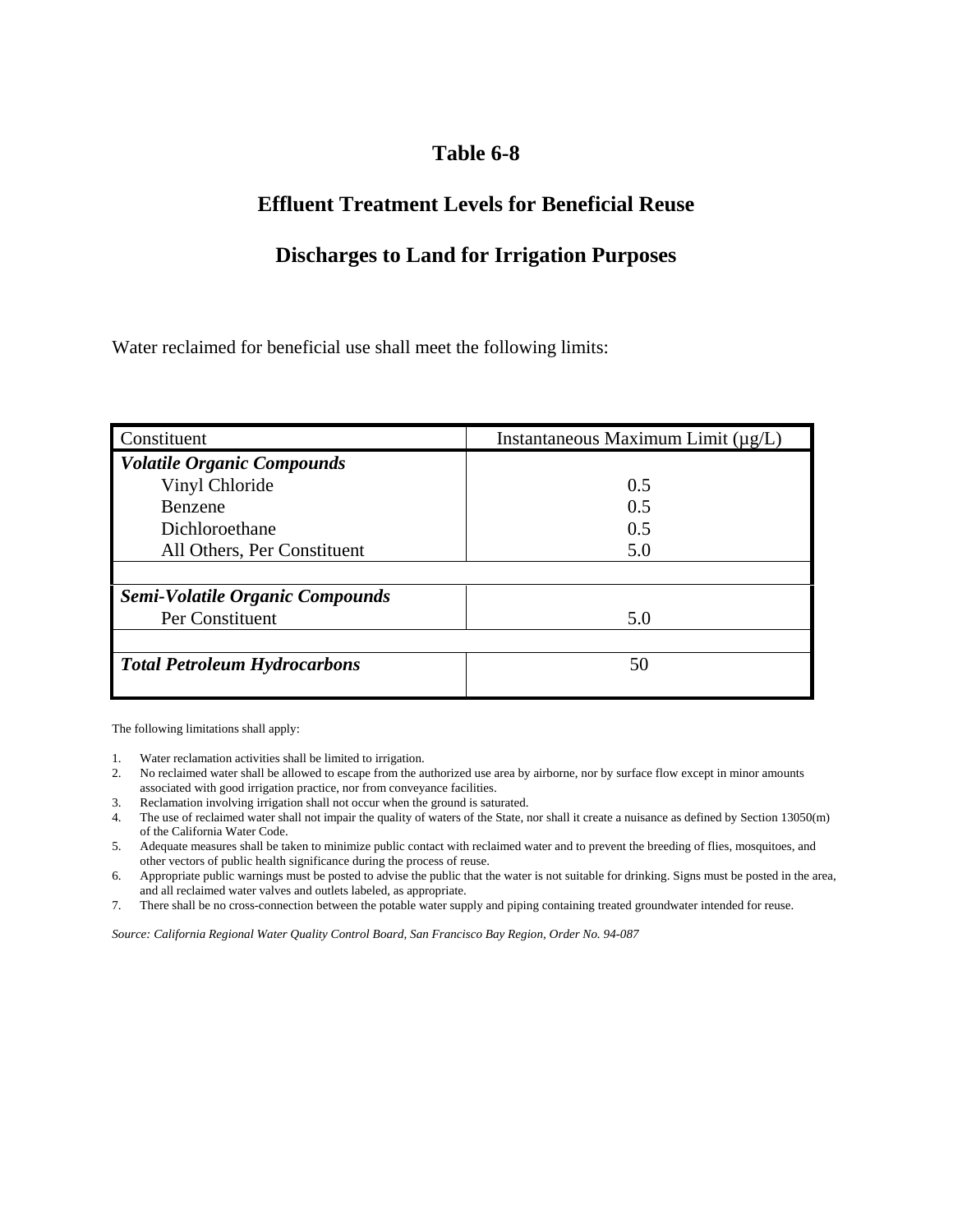## **Effluent Treatment Levels for Beneficial Reuse**

## **Discharges to Land for Irrigation Purposes**

Water reclaimed for beneficial use shall meet the following limits:

| Constituent                         | Instantaneous Maximum Limit $(\mu g/L)$ |
|-------------------------------------|-----------------------------------------|
| <b>Volatile Organic Compounds</b>   |                                         |
| Vinyl Chloride                      | 0.5                                     |
| <b>Benzene</b>                      | 0.5                                     |
| Dichloroethane                      | 0.5                                     |
| All Others, Per Constituent         | 5.0                                     |
|                                     |                                         |
| Semi-Volatile Organic Compounds     |                                         |
| Per Constituent                     | 5.0                                     |
|                                     |                                         |
| <b>Total Petroleum Hydrocarbons</b> | 50                                      |
|                                     |                                         |

The following limitations shall apply:

- 1. Water reclamation activities shall be limited to irrigation.
- 2. No reclaimed water shall be allowed to escape from the authorized use area by airborne, nor by surface flow except in minor amounts associated with good irrigation practice, nor from conveyance facilities.
- 3. Reclamation involving irrigation shall not occur when the ground is saturated.
- 4. The use of reclaimed water shall not impair the quality of waters of the State, nor shall it create a nuisance as defined by Section 13050(m) of the California Water Code.
- 5. Adequate measures shall be taken to minimize public contact with reclaimed water and to prevent the breeding of flies, mosquitoes, and other vectors of public health significance during the process of reuse.
- 6. Appropriate public warnings must be posted to advise the public that the water is not suitable for drinking. Signs must be posted in the area, and all reclaimed water valves and outlets labeled, as appropriate.
- 7. There shall be no cross-connection between the potable water supply and piping containing treated groundwater intended for reuse.

*Source: California Regional Water Quality Control Board, San Francisco Bay Region, Order No. 94-087*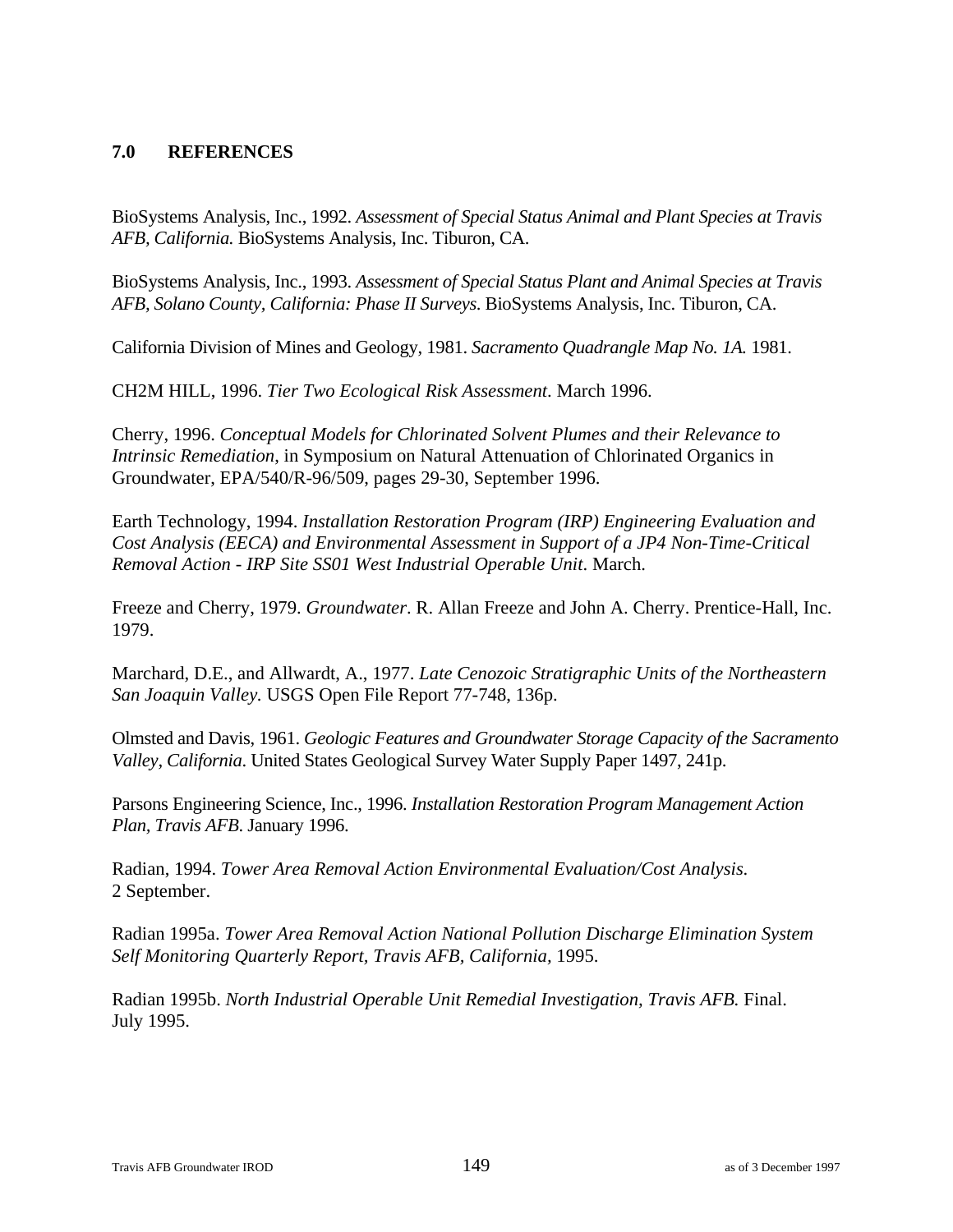#### **7.0 REFERENCES**

BioSystems Analysis, Inc., 1992. *Assessment of Special Status Animal and Plant Species at Travis AFB, California.* BioSystems Analysis, Inc. Tiburon, CA.

BioSystems Analysis, Inc., 1993. *Assessment of Special Status Plant and Animal Species at Travis AFB, Solano County, California: Phase II Surveys*. BioSystems Analysis, Inc. Tiburon, CA.

California Division of Mines and Geology, 1981. *Sacramento Quadrangle Map No. 1A.* 1981.

CH2M HILL, 1996. *Tier Two Ecological Risk Assessment*. March 1996.

Cherry, 1996. *Conceptual Models for Chlorinated Solvent Plumes and their Relevance to Intrinsic Remediation*, in Symposium on Natural Attenuation of Chlorinated Organics in Groundwater, EPA/540/R-96/509, pages 29-30, September 1996.

Earth Technology, 1994. *Installation Restoration Program (IRP) Engineering Evaluation and Cost Analysis (EECA) and Environmental Assessment in Support of a JP4 Non-Time-Critical Removal Action - IRP Site SS01 West Industrial Operable Unit*. March.

Freeze and Cherry, 1979. *Groundwater*. R. Allan Freeze and John A. Cherry. Prentice-Hall, Inc. 1979.

Marchard, D.E., and Allwardt, A., 1977. *Late Cenozoic Stratigraphic Units of the Northeastern San Joaquin Valley.* USGS Open File Report 77-748, 136p.

Olmsted and Davis, 1961. *Geologic Features and Groundwater Storage Capacity of the Sacramento Valley, California*. United States Geological Survey Water Supply Paper 1497, 241p.

Parsons Engineering Science, Inc., 1996. *Installation Restoration Program Management Action Plan, Travis AFB*. January 1996.

Radian, 1994. *Tower Area Removal Action Environmental Evaluation/Cost Analysis*. 2 September.

Radian 1995a. *Tower Area Removal Action National Pollution Discharge Elimination System Self Monitoring Quarterly Report, Travis AFB, California,* 1995.

Radian 1995b. *North Industrial Operable Unit Remedial Investigation, Travis AFB.* Final. July 1995.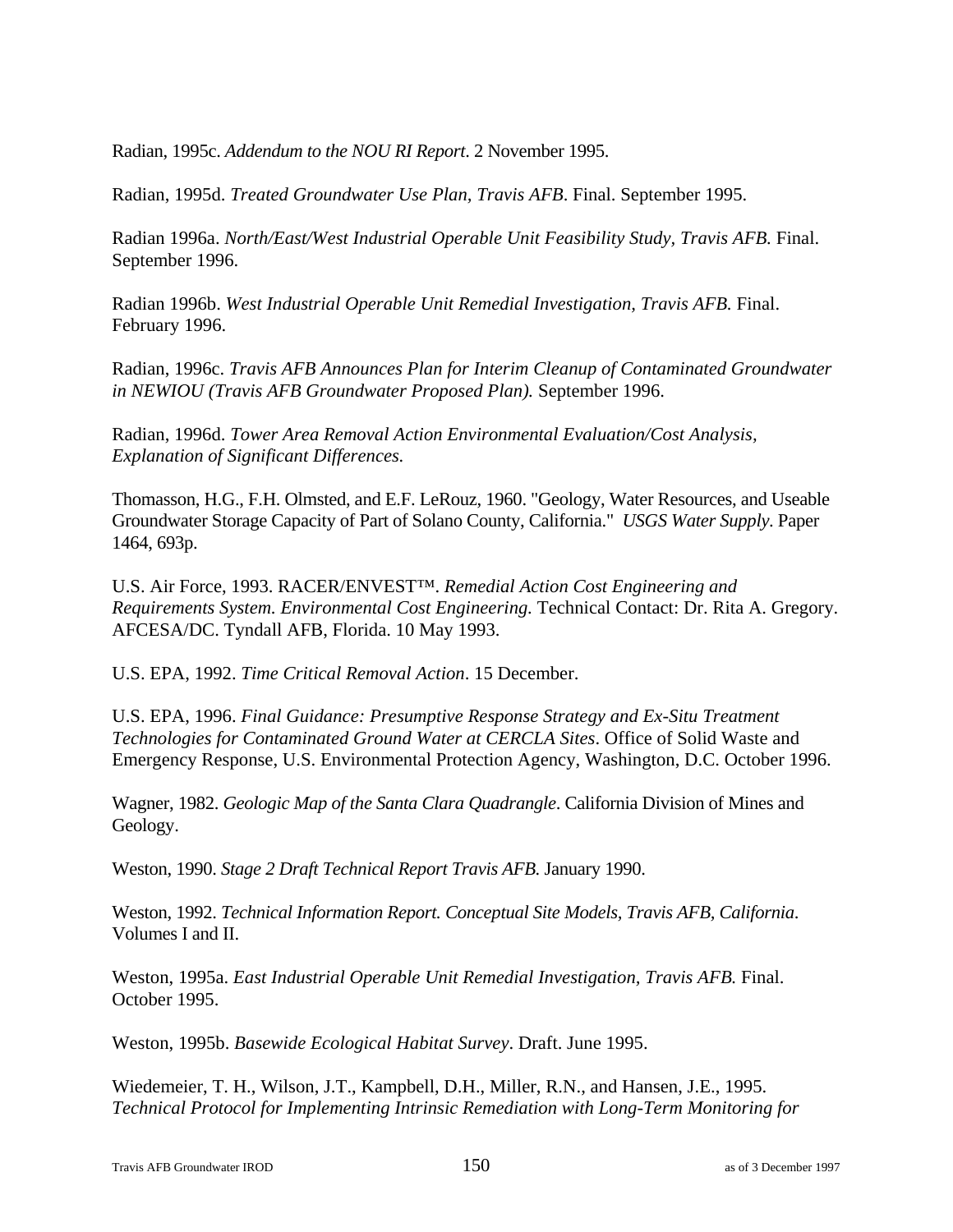Radian, 1995c. *Addendum to the NOU RI Report*. 2 November 1995.

Radian, 1995d. *Treated Groundwater Use Plan, Travis AFB*. Final. September 1995.

Radian 1996a. *North/East/West Industrial Operable Unit Feasibility Study, Travis AFB.* Final. September 1996.

Radian 1996b. *West Industrial Operable Unit Remedial Investigation, Travis AFB.* Final. February 1996.

Radian, 1996c. *Travis AFB Announces Plan for Interim Cleanup of Contaminated Groundwater in NEWIOU (Travis AFB Groundwater Proposed Plan).* September 1996.

Radian, 1996d. *Tower Area Removal Action Environmental Evaluation/Cost Analysis, Explanation of Significant Differences.* 

Thomasson, H.G., F.H. Olmsted, and E.F. LeRouz, 1960. "Geology, Water Resources, and Useable Groundwater Storage Capacity of Part of Solano County, California." *USGS Water Supply*. Paper 1464, 693p.

U.S. Air Force, 1993. RACER/ENVEST™. *Remedial Action Cost Engineering and Requirements System. Environmental Cost Engineering.* Technical Contact: Dr. Rita A. Gregory. AFCESA/DC. Tyndall AFB, Florida. 10 May 1993.

U.S. EPA, 1992. *Time Critical Removal Action*. 15 December.

U.S. EPA, 1996. *Final Guidance: Presumptive Response Strategy and Ex-Situ Treatment Technologies for Contaminated Ground Water at CERCLA Sites*. Office of Solid Waste and Emergency Response, U.S. Environmental Protection Agency, Washington, D.C. October 1996.

Wagner, 1982. *Geologic Map of the Santa Clara Quadrangle*. California Division of Mines and Geology.

Weston, 1990. *Stage 2 Draft Technical Report Travis AFB.* January 1990.

Weston, 1992. *Technical Information Report. Conceptual Site Models, Travis AFB, California*. Volumes I and II.

Weston, 1995a. *East Industrial Operable Unit Remedial Investigation, Travis AFB.* Final. October 1995.

Weston, 1995b. *Basewide Ecological Habitat Survey*. Draft. June 1995.

Wiedemeier, T. H., Wilson, J.T., Kampbell, D.H., Miller, R.N., and Hansen, J.E., 1995. *Technical Protocol for Implementing Intrinsic Remediation with Long-Term Monitoring for*